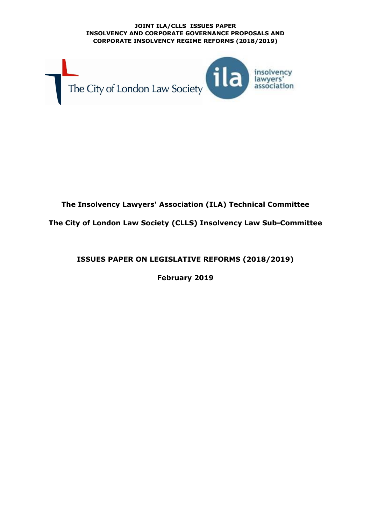

# **The Insolvency Lawyers' Association (ILA) Technical Committee**

**The City of London Law Society (CLLS) Insolvency Law Sub-Committee**

**ISSUES PAPER ON LEGISLATIVE REFORMS (2018/2019)**

**February 2019**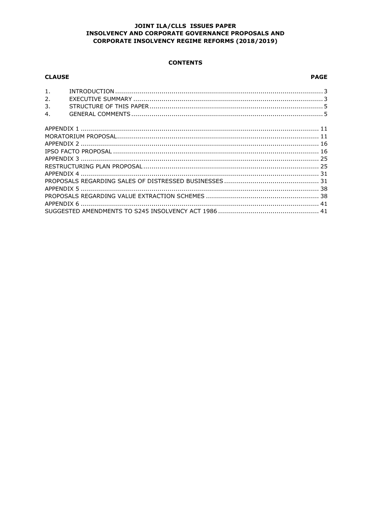### **CONTENTS**

| <b>CLAUSE</b>    | <b>PAGE</b> |
|------------------|-------------|
| 1.               |             |
| 2.               |             |
| 3.               |             |
| $\overline{4}$ . |             |
|                  |             |
|                  |             |
|                  |             |
|                  |             |
|                  |             |
|                  |             |
|                  |             |
|                  |             |
|                  |             |
|                  |             |
|                  |             |
|                  |             |
|                  |             |
|                  |             |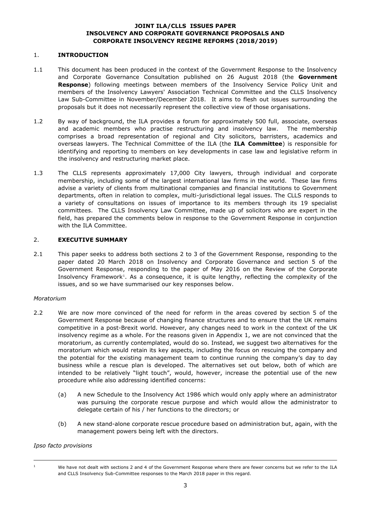### 1. **INTRODUCTION**

- 1.1 This document has been produced in the context of the Government Response to the Insolvency and Corporate Governance Consultation published on 26 August 2018 (the **Government Response**) following meetings between members of the Insolvency Service Policy Unit and members of the Insolvency Lawyers' Association Technical Committee and the CLLS Insolvency Law Sub-Committee in November/December 2018. It aims to flesh out issues surrounding the proposals but it does not necessarily represent the collective view of those organisations.
- 1.2 By way of background, the ILA provides a forum for approximately 500 full, associate, overseas and academic members who practise restructuring and insolvency law. The membership comprises a broad representation of regional and City solicitors, barristers, academics and overseas lawyers. The Technical Committee of the ILA (the **ILA Committee**) is responsible for identifying and reporting to members on key developments in case law and legislative reform in the insolvency and restructuring market place.
- 1.3 The CLLS represents approximately 17,000 City lawyers, through individual and corporate membership, including some of the largest international law firms in the world. These law firms advise a variety of clients from multinational companies and financial institutions to Government departments, often in relation to complex, multi-jurisdictional legal issues. The CLLS responds to a variety of consultations on issues of importance to its members through its 19 specialist committees. The CLLS Insolvency Law Committee, made up of solicitors who are expert in the field, has prepared the comments below in response to the Government Response in conjunction with the ILA Committee.

### 2. **EXECUTIVE SUMMARY**

2.1 This paper seeks to address both sections 2 to 3 of the Government Response, responding to the paper dated 20 March 2018 on Insolvency and Corporate Governance and section 5 of the Government Response, responding to the paper of May 2016 on the Review of the Corporate Insolvency Framework<sup>1</sup>. As a consequence, it is quite lengthy, reflecting the complexity of the issues, and so we have summarised our key responses below.

### *Moratorium*

- 2.2 We are now more convinced of the need for reform in the areas covered by section 5 of the Government Response because of changing finance structures and to ensure that the UK remains competitive in a post-Brexit world. However, any changes need to work in the context of the UK insolvency regime as a whole. For the reasons given in Appendix 1, we are not convinced that the moratorium, as currently contemplated, would do so. Instead, we suggest two alternatives for the moratorium which would retain its key aspects, including the focus on rescuing the company and the potential for the existing management team to continue running the company's day to day business while a rescue plan is developed. The alternatives set out below, both of which are intended to be relatively "light touch", would, however, increase the potential use of the new procedure while also addressing identified concerns:
	- (a) A new Schedule to the Insolvency Act 1986 which would only apply where an administrator was pursuing the corporate rescue purpose and which would allow the administrator to delegate certain of his / her functions to the directors; or
	- (b) A new stand-alone corporate rescue procedure based on administration but, again, with the management powers being left with the directors.

### *Ipso facto provisions*

i,

<sup>&</sup>lt;sup>1</sup> We have not dealt with sections 2 and 4 of the Government Response where there are fewer concerns but we refer to the ILA and CLLS Insolvency Sub-Committee responses to the March 2018 paper in this regard.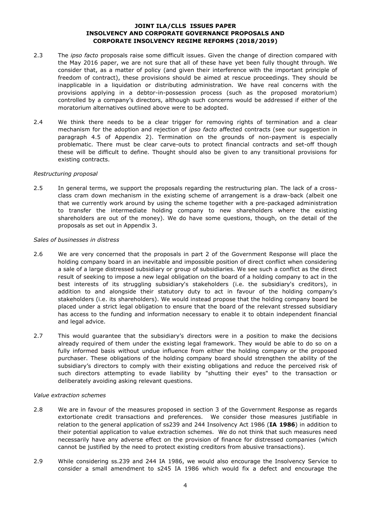- 2.3 The *ipso facto* proposals raise some difficult issues. Given the change of direction compared with the May 2016 paper, we are not sure that all of these have yet been fully thought through. We consider that, as a matter of policy (and given their interference with the important principle of freedom of contract), these provisions should be aimed at rescue proceedings. They should be inapplicable in a liquidation or distributing administration. We have real concerns with the provisions applying in a debtor-in-possession process (such as the proposed moratorium) controlled by a company's directors, although such concerns would be addressed if either of the moratorium alternatives outlined above were to be adopted.
- 2.4 We think there needs to be a clear trigger for removing rights of termination and a clear mechanism for the adoption and rejection of *ipso facto* affected contracts (see our suggestion in paragraph 4.5 of Appendix 2). Termination on the grounds of non-payment is especially problematic. There must be clear carve-outs to protect financial contracts and set-off though these will be difficult to define. Thought should also be given to any transitional provisions for existing contracts.

#### *Restructuring proposal*

2.5 In general terms, we support the proposals regarding the restructuring plan. The lack of a crossclass cram down mechanism in the existing scheme of arrangement is a draw-back (albeit one that we currently work around by using the scheme together with a pre-packaged administration to transfer the intermediate holding company to new shareholders where the existing shareholders are out of the money). We do have some questions, though, on the detail of the proposals as set out in Appendix 3.

#### *Sales of businesses in distress*

- 2.6 We are very concerned that the proposals in part 2 of the Government Response will place the holding company board in an inevitable and impossible position of direct conflict when considering a sale of a large distressed subsidiary or group of subsidiaries. We see such a conflict as the direct result of seeking to impose a new legal obligation on the board of a holding company to act in the best interests of its struggling subsidiary's stakeholders (i.e. the subsidiary's creditors), in addition to and alongside their statutory duty to act in favour of the holding company's stakeholders (i.e. its shareholders). We would instead propose that the holding company board be placed under a strict legal obligation to ensure that the board of the relevant stressed subsidiary has access to the funding and information necessary to enable it to obtain independent financial and legal advice.
- 2.7 This would guarantee that the subsidiary's directors were in a position to make the decisions already required of them under the existing legal framework. They would be able to do so on a fully informed basis without undue influence from either the holding company or the proposed purchaser. These obligations of the holding company board should strengthen the ability of the subsidiary's directors to comply with their existing obligations and reduce the perceived risk of such directors attempting to evade liability by "shutting their eyes" to the transaction or deliberately avoiding asking relevant questions.

#### *Value extraction schemes*

- 2.8 We are in favour of the measures proposed in section 3 of the Government Response as regards extortionate credit transactions and preferences. We consider those measures justifiable in relation to the general application of ss239 and 244 Insolvency Act 1986 (**IA 1986**) in addition to their potential application to value extraction schemes. We do not think that such measures need necessarily have any adverse effect on the provision of finance for distressed companies (which cannot be justified by the need to protect existing creditors from abusive transactions).
- 2.9 While considering ss.239 and 244 IA 1986, we would also encourage the Insolvency Service to consider a small amendment to s245 IA 1986 which would fix a defect and encourage the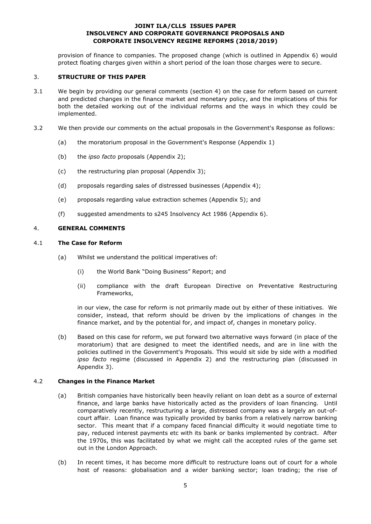provision of finance to companies. The proposed change (which is outlined in Appendix 6) would protect floating charges given within a short period of the loan those charges were to secure.

### 3. **STRUCTURE OF THIS PAPER**

- 3.1 We begin by providing our general comments (section 4) on the case for reform based on current and predicted changes in the finance market and monetary policy, and the implications of this for both the detailed working out of the individual reforms and the ways in which they could be implemented.
- 3.2 We then provide our comments on the actual proposals in the Government's Response as follows:
	- (a) the moratorium proposal in the Government's Response (Appendix 1)
	- (b) the *ipso facto* proposals (Appendix 2);
	- (c) the restructuring plan proposal (Appendix 3);
	- (d) proposals regarding sales of distressed businesses (Appendix 4);
	- (e) proposals regarding value extraction schemes (Appendix 5); and
	- (f) suggested amendments to s245 Insolvency Act 1986 (Appendix 6).

#### 4. **GENERAL COMMENTS**

#### 4.1 **The Case for Reform**

- (a) Whilst we understand the political imperatives of:
	- (i) the World Bank "Doing Business" Report; and
	- (ii) compliance with the draft European Directive on Preventative Restructuring Frameworks,

in our view, the case for reform is not primarily made out by either of these initiatives. We consider, instead, that reform should be driven by the implications of changes in the finance market, and by the potential for, and impact of, changes in monetary policy.

(b) Based on this case for reform, we put forward two alternative ways forward (in place of the moratorium) that are designed to meet the identified needs, and are in line with the policies outlined in the Government's Proposals. This would sit side by side with a modified *ipso facto* regime (discussed in Appendix 2) and the restructuring plan (discussed in Appendix 3).

### 4.2 **Changes in the Finance Market**

- (a) British companies have historically been heavily reliant on loan debt as a source of external finance, and large banks have historically acted as the providers of loan financing. Until comparatively recently, restructuring a large, distressed company was a largely an out-ofcourt affair. Loan finance was typically provided by banks from a relatively narrow banking sector. This meant that if a company faced financial difficulty it would negotiate time to pay, reduced interest payments etc with its bank or banks implemented by contract. After the 1970s, this was facilitated by what we might call the accepted rules of the game set out in the London Approach.
- (b) In recent times, it has become more difficult to restructure loans out of court for a whole host of reasons: globalisation and a wider banking sector; loan trading; the rise of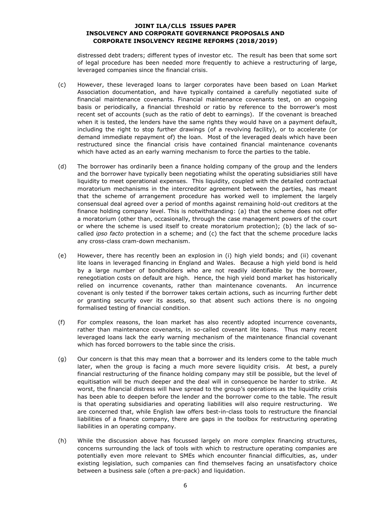distressed debt traders; different types of investor etc. The result has been that some sort of legal procedure has been needed more frequently to achieve a restructuring of large, leveraged companies since the financial crisis.

- (c) However, these leveraged loans to larger corporates have been based on Loan Market Association documentation, and have typically contained a carefully negotiated suite of financial maintenance covenants. Financial maintenance covenants test, on an ongoing basis or periodically, a financial threshold or ratio by reference to the borrower's most recent set of accounts (such as the ratio of debt to earnings). If the covenant is breached when it is tested, the lenders have the same rights they would have on a payment default, including the right to stop further drawings (of a revolving facility), or to accelerate (or demand immediate repayment of) the loan. Most of the leveraged deals which have been restructured since the financial crisis have contained financial maintenance covenants which have acted as an early warning mechanism to force the parties to the table.
- (d) The borrower has ordinarily been a finance holding company of the group and the lenders and the borrower have typically been negotiating whilst the operating subsidiaries still have liquidity to meet operational expenses. This liquidity, coupled with the detailed contractual moratorium mechanisms in the intercreditor agreement between the parties, has meant that the scheme of arrangement procedure has worked well to implement the largely consensual deal agreed over a period of months against remaining hold-out creditors at the finance holding company level. This is notwithstanding: (a) that the scheme does not offer a moratorium (other than, occasionally, through the case management powers of the court or where the scheme is used itself to create moratorium protection); (b) the lack of socalled *ipso facto* protection in a scheme; and (c) the fact that the scheme procedure lacks any cross-class cram-down mechanism.
- (e) However, there has recently been an explosion in (i) high yield bonds; and (ii) covenant lite loans in leveraged financing in England and Wales. Because a high yield bond is held by a large number of bondholders who are not readily identifiable by the borrower, renegotiation costs on default are high. Hence, the high yield bond market has historically relied on incurrence covenants, rather than maintenance covenants. An incurrence covenant is only tested if the borrower takes certain actions, such as incurring further debt or granting security over its assets, so that absent such actions there is no ongoing formalised testing of financial condition.
- (f) For complex reasons, the loan market has also recently adopted incurrence covenants, rather than maintenance covenants, in so-called covenant lite loans. Thus many recent leveraged loans lack the early warning mechanism of the maintenance financial covenant which has forced borrowers to the table since the crisis.
- (g) Our concern is that this may mean that a borrower and its lenders come to the table much later, when the group is facing a much more severe liquidity crisis. At best, a purely financial restructuring of the finance holding company may still be possible, but the level of equitisation will be much deeper and the deal will in consequence be harder to strike. At worst, the financial distress will have spread to the group's operations as the liquidity crisis has been able to deepen before the lender and the borrower come to the table. The result is that operating subsidiaries and operating liabilities will also require restructuring. We are concerned that, while English law offers best-in-class tools to restructure the financial liabilities of a finance company, there are gaps in the toolbox for restructuring operating liabilities in an operating company.
- (h) While the discussion above has focussed largely on more complex financing structures, concerns surrounding the lack of tools with which to restructure operating companies are potentially even more relevant to SMEs which encounter financial difficulties, as, under existing legislation, such companies can find themselves facing an unsatisfactory choice between a business sale (often a pre-pack) and liquidation.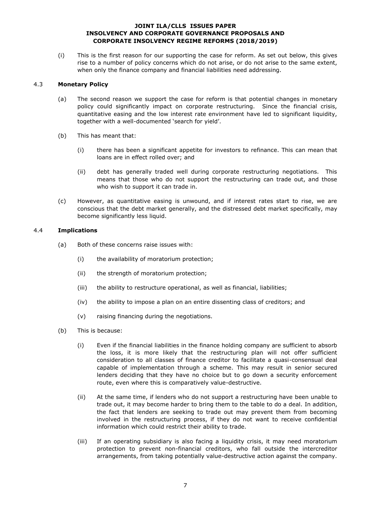(i) This is the first reason for our supporting the case for reform. As set out below, this gives rise to a number of policy concerns which do not arise, or do not arise to the same extent, when only the finance company and financial liabilities need addressing.

### 4.3 **Monetary Policy**

- (a) The second reason we support the case for reform is that potential changes in monetary policy could significantly impact on corporate restructuring. Since the financial crisis, quantitative easing and the low interest rate environment have led to significant liquidity, together with a well-documented 'search for yield'.
- (b) This has meant that:
	- (i) there has been a significant appetite for investors to refinance. This can mean that loans are in effect rolled over; and
	- (ii) debt has generally traded well during corporate restructuring negotiations. This means that those who do not support the restructuring can trade out, and those who wish to support it can trade in.
- (c) However, as quantitative easing is unwound, and if interest rates start to rise, we are conscious that the debt market generally, and the distressed debt market specifically, may become significantly less liquid.

### 4.4 **Implications**

- (a) Both of these concerns raise issues with:
	- (i) the availability of moratorium protection;
	- (ii) the strength of moratorium protection;
	- (iii) the ability to restructure operational, as well as financial, liabilities;
	- (iv) the ability to impose a plan on an entire dissenting class of creditors; and
	- (v) raising financing during the negotiations.
- (b) This is because:
	- (i) Even if the financial liabilities in the finance holding company are sufficient to absorb the loss, it is more likely that the restructuring plan will not offer sufficient consideration to all classes of finance creditor to facilitate a quasi-consensual deal capable of implementation through a scheme. This may result in senior secured lenders deciding that they have no choice but to go down a security enforcement route, even where this is comparatively value-destructive.
	- (ii) At the same time, if lenders who do not support a restructuring have been unable to trade out, it may become harder to bring them to the table to do a deal. In addition, the fact that lenders are seeking to trade out may prevent them from becoming involved in the restructuring process, if they do not want to receive confidential information which could restrict their ability to trade.
	- (iii) If an operating subsidiary is also facing a liquidity crisis, it may need moratorium protection to prevent non-financial creditors, who fall outside the intercreditor arrangements, from taking potentially value-destructive action against the company.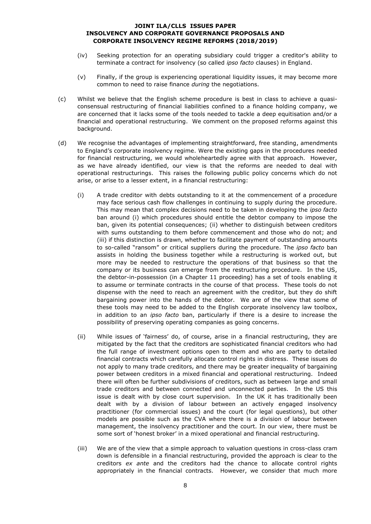- (iv) Seeking protection for an operating subsidiary could trigger a creditor's ability to terminate a contract for insolvency (so called *ipso facto* clauses) in England.
- (v) Finally, if the group is experiencing operational liquidity issues, it may become more common to need to raise finance *during* the negotiations.
- (c) Whilst we believe that the English scheme procedure is best in class to achieve a quasiconsensual restructuring of financial liabilities confined to a finance holding company, we are concerned that it lacks some of the tools needed to tackle a deep equitisation and/or a financial and operational restructuring. We comment on the proposed reforms against this background.
- (d) We recognise the advantages of implementing straightforward, free standing, amendments to England's corporate insolvency regime. Were the existing gaps in the procedures needed for financial restructuring, we would wholeheartedly agree with that approach. However, as we have already identified, our view is that the reforms are needed to deal with operational restructurings. This raises the following public policy concerns which do not arise, or arise to a lesser extent, in a financial restructuring:
	- (i) A trade creditor with debts outstanding to it at the commencement of a procedure may face serious cash flow challenges in continuing to supply during the procedure. This may mean that complex decisions need to be taken in developing the *ipso facto* ban around (i) which procedures should entitle the debtor company to impose the ban, given its potential consequences; (ii) whether to distinguish between creditors with sums outstanding to them before commencement and those who do not; and (iii) if this distinction is drawn, whether to facilitate payment of outstanding amounts to so-called "ransom" or critical suppliers during the procedure. The *ipso facto* ban assists in holding the business together while a restructuring is worked out, but more may be needed to restructure the operations of that business so that the company or its business can emerge from the restructuring procedure. In the US, the debtor-in-possession (in a Chapter 11 proceeding) has a set of tools enabling it to assume or terminate contracts in the course of that process. These tools do not dispense with the need to reach an agreement with the creditor, but they do shift bargaining power into the hands of the debtor. We are of the view that some of these tools may need to be added to the English corporate insolvency law toolbox, in addition to an *ipso facto* ban, particularly if there is a desire to increase the possibility of preserving operating companies as going concerns.
	- (ii) While issues of 'fairness' do, of course, arise in a financial restructuring, they are mitigated by the fact that the creditors are sophisticated financial creditors who had the full range of investment options open to them and who are party to detailed financial contracts which carefully allocate control rights in distress. These issues do not apply to many trade creditors, and there may be greater inequality of bargaining power between creditors in a mixed financial and operational restructuring. Indeed there will often be further subdivisions of creditors, such as between large and small trade creditors and between connected and unconnected parties. In the US this issue is dealt with by close court supervision. In the UK it has traditionally been dealt with by a division of labour between an actively engaged insolvency practitioner (for commercial issues) and the court (for legal questions), but other models are possible such as the CVA where there is a division of labour between management, the insolvency practitioner and the court. In our view, there must be some sort of 'honest broker' in a mixed operational and financial restructuring.
	- (iii) We are of the view that a simple approach to valuation questions in cross-class cram down is defensible in a financial restructuring, provided the approach is clear to the creditors *ex ante* and the creditors had the chance to allocate control rights appropriately in the financial contracts. However, we consider that much more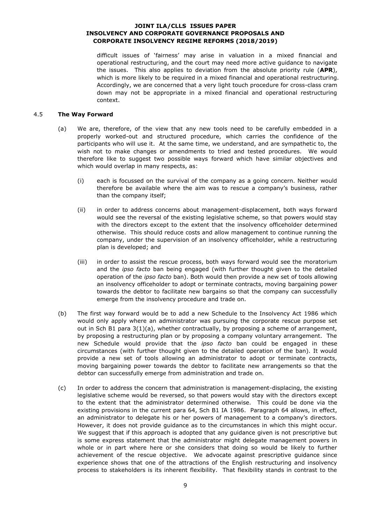difficult issues of 'fairness' may arise in valuation in a mixed financial and operational restructuring, and the court may need more active guidance to navigate the issues. This also applies to deviation from the absolute priority rule (**APR**), which is more likely to be required in a mixed financial and operational restructuring. Accordingly, we are concerned that a very light touch procedure for cross-class cram down may not be appropriate in a mixed financial and operational restructuring context.

### <span id="page-8-0"></span>4.5 **The Way Forward**

- (a) We are, therefore, of the view that any new tools need to be carefully embedded in a properly worked-out and structured procedure, which carries the confidence of the participants who will use it. At the same time, we understand, and are sympathetic to, the wish not to make changes or amendments to tried and tested procedures. We would therefore like to suggest two possible ways forward which have similar objectives and which would overlap in many respects, as:
	- (i) each is focussed on the survival of the company as a going concern. Neither would therefore be available where the aim was to rescue a company's business, rather than the company itself;
	- (ii) in order to address concerns about management-displacement, both ways forward would see the reversal of the existing legislative scheme, so that powers would stay with the directors except to the extent that the insolvency officeholder determined otherwise. This should reduce costs and allow management to continue running the company, under the supervision of an insolvency officeholder, while a restructuring plan is developed; and
	- (iii) in order to assist the rescue process, both ways forward would see the moratorium and the *ipso facto* ban being engaged (with further thought given to the detailed operation of the *ipso facto* ban). Both would then provide a new set of tools allowing an insolvency officeholder to adopt or terminate contracts, moving bargaining power towards the debtor to facilitate new bargains so that the company can successfully emerge from the insolvency procedure and trade on.
- (b) The first way forward would be to add a new Schedule to the Insolvency Act 1986 which would only apply where an administrator was pursuing the corporate rescue purpose set out in Sch B1 para 3(1)(a), whether contractually, by proposing a scheme of arrangement, by proposing a restructuring plan or by proposing a company voluntary arrangement. The new Schedule would provide that the *ipso facto* ban could be engaged in these circumstances (with further thought given to the detailed operation of the ban). It would provide a new set of tools allowing an administrator to adopt or terminate contracts, moving bargaining power towards the debtor to facilitate new arrangements so that the debtor can successfully emerge from administration and trade on.
- (c) In order to address the concern that administration is management-displacing, the existing legislative scheme would be reversed, so that powers would stay with the directors except to the extent that the administrator determined otherwise. This could be done via the existing provisions in the current para 64, Sch B1 IA 1986. Paragraph 64 allows, in effect, an administrator to delegate his or her powers of management to a company's directors. However, it does not provide guidance as to the circumstances in which this might occur. We suggest that if this approach is adopted that any guidance given is not prescriptive but is some express statement that the administrator might delegate management powers in whole or in part where here or she considers that doing so would be likely to further achievement of the rescue objective. We advocate against prescriptive guidance since experience shows that one of the attractions of the English restructuring and insolvency process to stakeholders is its inherent flexibility. That flexibility stands in contrast to the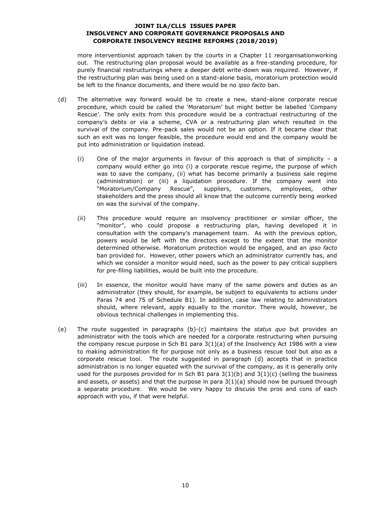more interventionist approach taken by the courts in a Chapter 11 reorganisationworking out. The restructuring plan proposal would be available as a free-standing procedure, for purely financial restructurings where a deeper debt write-down was required. However, if the restructuring plan was being used on a stand-alone basis, moratorium protection would be left to the finance documents, and there would be no *ipso facto* ban.

- (d) The alternative way forward would be to create a new, stand-alone corporate rescue procedure, which could be called the 'Moratorium' but might better be labelled 'Company Rescue'. The only exits from this procedure would be a contractual restructuring of the company's debts or via a scheme, CVA or a restructuring plan which resulted in the survival of the company. Pre-pack sales would not be an option. If it became clear that such an exit was no longer feasible, the procedure would end and the company would be put into administration or liquidation instead.
	- (i) One of the major arguments in favour of this approach is that of simplicity a company would either go into (i) a corporate rescue regime, the purpose of which was to save the company, (ii) what has become primarily a business sale regime (administration) or (iii) a liquidation procedure. If the company went into "Moratorium/Company Rescue", suppliers, customers, employees, other stakeholders and the press should all know that the outcome currently being worked on was the survival of the company.
	- (ii) This procedure would require an insolvency practitioner or similar officer, the "monitor", who could propose a restructuring plan, having developed it in consultation with the company's management team. As with the previous option, powers would be left with the directors except to the extent that the monitor determined otherwise. Moratorium protection would be engaged, and an *ipso facto* ban provided for. However, other powers which an administrator currently has, and which we consider a monitor would need, such as the power to pay critical suppliers for pre-filing liabilities, would be built into the procedure.
	- (iii) In essence, the monitor would have many of the same powers and duties as an administrator (they should, for example, be subject to equivalents to actions under Paras 74 and 75 of Schedule B1). In addition, case law relating to administrators should, where relevant, apply equally to the monitor. There would, however, be obvious technical challenges in implementing this.
- (e) The route suggested in paragraphs (b)-(c) maintains the *status quo* but provides an administrator with the tools which are needed for a corporate restructuring when pursuing the company rescue purpose in Sch B1 para  $3(1)(a)$  of the Insolvency Act 1986 with a view to making administration fit for purpose not only as a business rescue tool but also as a corporate rescue tool. The route suggested in paragraph (d) accepts that in practice administration is no longer equated with the survival of the company, as it is generally only used for the purposes provided for in Sch B1 para  $3(1)(b)$  and  $3(1)(c)$  (selling the business and assets, or assets) and that the purpose in para  $3(1)(a)$  should now be pursued through a separate procedure. We would be very happy to discuss the pros and cons of each approach with you, if that were helpful.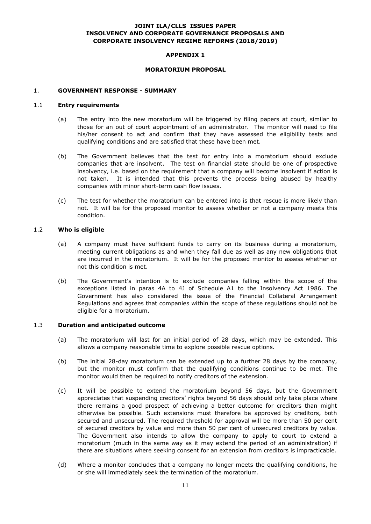### **APPENDIX 1**

#### **MORATORIUM PROPOSAL**

### 1. **GOVERNMENT RESPONSE - SUMMARY**

### 1.1 **Entry requirements**

- (a) The entry into the new moratorium will be triggered by filing papers at court, similar to those for an out of court appointment of an administrator. The monitor will need to file his/her consent to act and confirm that they have assessed the eligibility tests and qualifying conditions and are satisfied that these have been met.
- (b) The Government believes that the test for entry into a moratorium should exclude companies that are insolvent. The test on financial state should be one of prospective insolvency, i.e. based on the requirement that a company will become insolvent if action is not taken. It is intended that this prevents the process being abused by healthy companies with minor short-term cash flow issues.
- (c) The test for whether the moratorium can be entered into is that rescue is more likely than not. It will be for the proposed monitor to assess whether or not a company meets this condition.

# 1.2 **Who is eligible**

- (a) A company must have sufficient funds to carry on its business during a moratorium, meeting current obligations as and when they fall due as well as any new obligations that are incurred in the moratorium. It will be for the proposed monitor to assess whether or not this condition is met.
- (b) The Government's intention is to exclude companies falling within the scope of the exceptions listed in paras 4A to 4J of Schedule A1 to the Insolvency Act 1986. The Government has also considered the issue of the Financial Collateral Arrangement Regulations and agrees that companies within the scope of these regulations should not be eligible for a moratorium.

### 1.3 **Duration and anticipated outcome**

- (a) The moratorium will last for an initial period of 28 days, which may be extended. This allows a company reasonable time to explore possible rescue options.
- (b) The initial 28-day moratorium can be extended up to a further 28 days by the company, but the monitor must confirm that the qualifying conditions continue to be met. The monitor would then be required to notify creditors of the extension.
- (c) It will be possible to extend the moratorium beyond 56 days, but the Government appreciates that suspending creditors' rights beyond 56 days should only take place where there remains a good prospect of achieving a better outcome for creditors than might otherwise be possible. Such extensions must therefore be approved by creditors, both secured and unsecured. The required threshold for approval will be more than 50 per cent of secured creditors by value and more than 50 per cent of unsecured creditors by value. The Government also intends to allow the company to apply to court to extend a moratorium (much in the same way as it may extend the period of an administration) if there are situations where seeking consent for an extension from creditors is impracticable.
- (d) Where a monitor concludes that a company no longer meets the qualifying conditions, he or she will immediately seek the termination of the moratorium.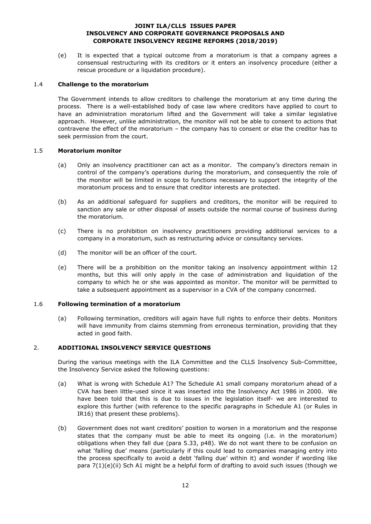(e) It is expected that a typical outcome from a moratorium is that a company agrees a consensual restructuring with its creditors or it enters an insolvency procedure (either a rescue procedure or a liquidation procedure).

### 1.4 **Challenge to the moratorium**

The Government intends to allow creditors to challenge the moratorium at any time during the process. There is a well-established body of case law where creditors have applied to court to have an administration moratorium lifted and the Government will take a similar legislative approach. However, unlike administration, the monitor will not be able to consent to actions that contravene the effect of the moratorium – the company has to consent or else the creditor has to seek permission from the court.

#### 1.5 **Moratorium monitor**

- (a) Only an insolvency practitioner can act as a monitor. The company's directors remain in control of the company's operations during the moratorium, and consequently the role of the monitor will be limited in scope to functions necessary to support the integrity of the moratorium process and to ensure that creditor interests are protected.
- (b) As an additional safeguard for suppliers and creditors, the monitor will be required to sanction any sale or other disposal of assets outside the normal course of business during the moratorium.
- (c) There is no prohibition on insolvency practitioners providing additional services to a company in a moratorium, such as restructuring advice or consultancy services.
- (d) The monitor will be an officer of the court.
- (e) There will be a prohibition on the monitor taking an insolvency appointment within 12 months, but this will only apply in the case of administration and liquidation of the company to which he or she was appointed as monitor. The monitor will be permitted to take a subsequent appointment as a supervisor in a CVA of the company concerned.

### 1.6 **Following termination of a moratorium**

(a) Following termination, creditors will again have full rights to enforce their debts. Monitors will have immunity from claims stemming from erroneous termination, providing that they acted in good faith.

### 2. **ADDITIONAL INSOLVENCY SERVICE QUESTIONS**

During the various meetings with the ILA Committee and the CLLS Insolvency Sub-Committee, the Insolvency Service asked the following questions:

- (a) What is wrong with Schedule A1? The Schedule A1 small company moratorium ahead of a CVA has been little-used since it was inserted into the Insolvency Act 1986 in 2000. We have been told that this is due to issues in the legislation itself- we are interested to explore this further (with reference to the specific paragraphs in Schedule A1 (or Rules in IR16) that present these problems).
- (b) Government does not want creditors' position to worsen in a moratorium and the response states that the company must be able to meet its ongoing (i.e. in the moratorium) obligations when they fall due (para 5.33, p48). We do not want there to be confusion on what 'falling due' means (particularly if this could lead to companies managing entry into the process specifically to avoid a debt 'falling due' within it) and wonder if wording like para 7(1)(e)(ii) Sch A1 might be a helpful form of drafting to avoid such issues (though we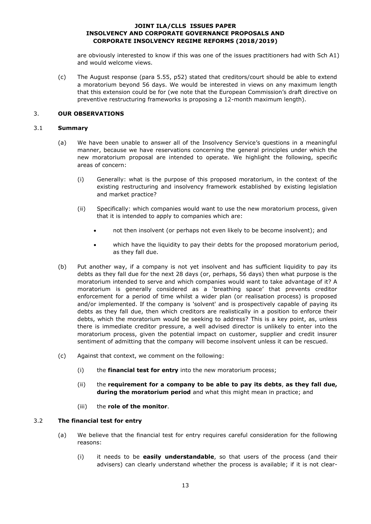are obviously interested to know if this was one of the issues practitioners had with Sch A1) and would welcome views.

(c) The August response (para 5.55, p52) stated that creditors/court should be able to extend a moratorium beyond 56 days. We would be interested in views on any maximum length that this extension could be for (we note that the European Commission's draft directive on preventive restructuring frameworks is proposing a 12-month maximum length).

### 3. **OUR OBSERVATIONS**

### 3.1 **Summary**

- (a) We have been unable to answer all of the Insolvency Service's questions in a meaningful manner, because we have reservations concerning the general principles under which the new moratorium proposal are intended to operate. We highlight the following, specific areas of concern:
	- (i) Generally: what is the purpose of this proposed moratorium, in the context of the existing restructuring and insolvency framework established by existing legislation and market practice?
	- (ii) Specifically: which companies would want to use the new moratorium process, given that it is intended to apply to companies which are:
		- not then insolvent (or perhaps not even likely to be become insolvent); and
		- which have the liquidity to pay their debts for the proposed moratorium period, as they fall due.
- (b) Put another way, if a company is not yet insolvent and has sufficient liquidity to pay its debts as they fall due for the next 28 days (or, perhaps, 56 days) then what purpose is the moratorium intended to serve and which companies would want to take advantage of it? A moratorium is generally considered as a 'breathing space' that prevents creditor enforcement for a period of time whilst a wider plan (or realisation process) is proposed and/or implemented. If the company is 'solvent' and is prospectively capable of paying its debts as they fall due, then which creditors are realistically in a position to enforce their debts, which the moratorium would be seeking to address? This is a key point, as, unless there is immediate creditor pressure, a well advised director is unlikely to enter into the moratorium process, given the potential impact on customer, supplier and credit insurer sentiment of admitting that the company will become insolvent unless it can be rescued.
- (c) Against that context, we comment on the following:
	- (i) the **financial test for entry** into the new moratorium process;
	- (ii) the **requirement for a company to be able to pay its debts**, **as they fall due, during the moratorium period** and what this might mean in practice; and
	- (iii) the **role of the monitor**.

### 3.2 **The financial test for entry**

- (a) We believe that the financial test for entry requires careful consideration for the following reasons:
	- (i) it needs to be **easily understandable**, so that users of the process (and their advisers) can clearly understand whether the process is available; if it is not clear-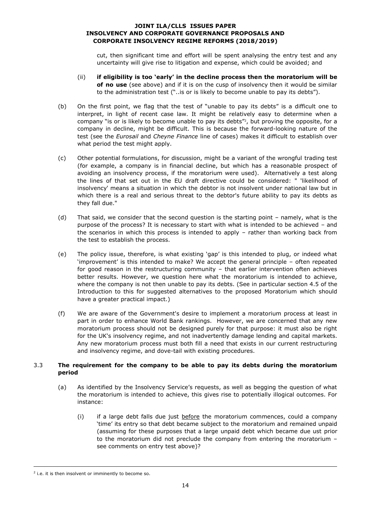cut, then significant time and effort will be spent analysing the entry test and any uncertainty will give rise to litigation and expense, which could be avoided; and

- (ii) **if eligibility is too 'early' in the decline process then the moratorium will be of no use** (see above) and if it is on the cusp of insolvency then it would be similar to the administration test ("..is or is likely to become unable to pay its debts").
- (b) On the first point, we flag that the test of "unable to pay its debts" is a difficult one to interpret, in light of recent case law. It might be relatively easy to determine when a company "is or is likely to become unable to pay its debts"?, but proving the opposite, for a company in decline, might be difficult. This is because the forward-looking nature of the test (see the *Eurosail* and *Cheyne Finance* line of cases) makes it difficult to establish over what period the test might apply.
- (c) Other potential formulations, for discussion, might be a variant of the wrongful trading test (for example, a company is in financial decline, but which has a reasonable prospect of avoiding an insolvency process, if the moratorium were used). Alternatively a test along the lines of that set out in the EU draft directive could be considered: " 'likelihood of insolvency' means a situation in which the debtor is not insolvent under national law but in which there is a real and serious threat to the debtor's future ability to pay its debts as they fall due."
- (d) That said, we consider that the second question is the starting point namely, what is the purpose of the process? It is necessary to start with what is intended to be achieved – and the scenarios in which this process is intended to apply – rather than working back from the test to establish the process.
- (e) The policy issue, therefore, is what existing 'gap' is this intended to plug, or indeed what 'improvement' is this intended to make? We accept the general principle – often repeated for good reason in the restructuring community – that earlier intervention often achieves better results. However, we question here what the moratorium is intended to achieve, where the company is not then unable to pay its debts. (See in particular section [4.5](#page-8-0) of the Introduction to this for suggested alternatives to the proposed Moratorium which should have a greater practical impact.)
- (f) We are aware of the Government's desire to implement a moratorium process at least in part in order to enhance World Bank rankings. However, we are concerned that any new moratorium process should not be designed purely for that purpose: it must also be right for the UK's insolvency regime, and not inadvertently damage lending and capital markets. Any new moratorium process must both fill a need that exists in our current restructuring and insolvency regime, and dove-tail with existing procedures.

# 3.3 **The requirement for the company to be able to pay its debts during the moratorium period**

- (a) As identified by the Insolvency Service's requests, as well as begging the question of what the moratorium is intended to achieve, this gives rise to potentially illogical outcomes. For instance:
	- $(i)$  if a large debt falls due just before the moratorium commences, could a company 'time' its entry so that debt became subject to the moratorium and remained unpaid (assuming for these purposes that a large unpaid debt which became due ust prior to the moratorium did not preclude the company from entering the moratorium – see comments on entry test above)?

-

 $2$  i.e. it is then insolvent or imminently to become so.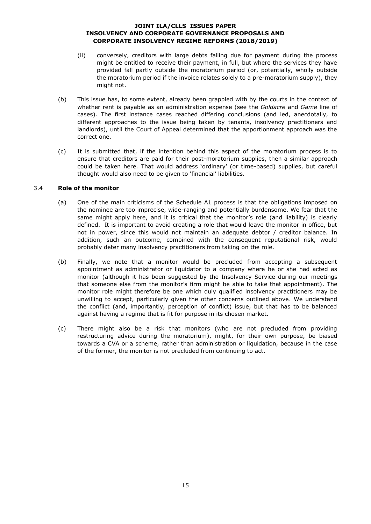- (ii) conversely, creditors with large debts falling due for payment during the process might be entitled to receive their payment, in full, but where the services they have provided fall partly outside the moratorium period (or, potentially, wholly outside the moratorium period if the invoice relates solely to a pre-moratorium supply), they might not.
- (b) This issue has, to some extent, already been grappled with by the courts in the context of whether rent is payable as an administration expense (see the *Goldacre* and *Game* line of cases). The first instance cases reached differing conclusions (and led, anecdotally, to different approaches to the issue being taken by tenants, insolvency practitioners and landlords), until the Court of Appeal determined that the apportionment approach was the correct one.
- (c) It is submitted that, if the intention behind this aspect of the moratorium process is to ensure that creditors are paid for their post-moratorium supplies, then a similar approach could be taken here. That would address 'ordinary' (or time-based) supplies, but careful thought would also need to be given to 'financial' liabilities.

### 3.4 **Role of the monitor**

- (a) One of the main criticisms of the Schedule A1 process is that the obligations imposed on the nominee are too imprecise, wide-ranging and potentially burdensome. We fear that the same might apply here, and it is critical that the monitor's role (and liability) is clearly defined. It is important to avoid creating a role that would leave the monitor in office, but not in power, since this would not maintain an adequate debtor / creditor balance. In addition, such an outcome, combined with the consequent reputational risk, would probably deter many insolvency practitioners from taking on the role.
- (b) Finally, we note that a monitor would be precluded from accepting a subsequent appointment as administrator or liquidator to a company where he or she had acted as monitor (although it has been suggested by the Insolvency Service during our meetings that someone else from the monitor's firm might be able to take that appointment). The monitor role might therefore be one which duly qualified insolvency practitioners may be unwilling to accept, particularly given the other concerns outlined above. We understand the conflict (and, importantly, perception of conflict) issue, but that has to be balanced against having a regime that is fit for purpose in its chosen market.
- (c) There might also be a risk that monitors (who are not precluded from providing restructuring advice during the moratorium), might, for their own purpose, be biased towards a CVA or a scheme, rather than administration or liquidation, because in the case of the former, the monitor is not precluded from continuing to act.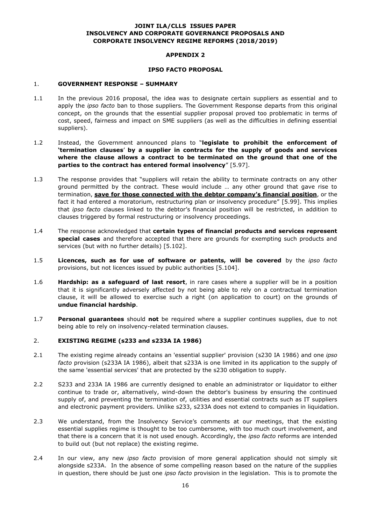### **APPENDIX 2**

#### **IPSO FACTO PROPOSAL**

#### 1. **GOVERNMENT RESPONSE – SUMMARY**

- 1.1 In the previous 2016 proposal, the idea was to designate certain suppliers as essential and to apply the *ipso facto* ban to those suppliers. The Government Response departs from this original concept, on the grounds that the essential supplier proposal proved too problematic in terms of cost, speed, fairness and impact on SME suppliers (as well as the difficulties in defining essential suppliers).
- 1.2 Instead, the Government announced plans to "**legislate to prohibit the enforcement of 'termination clauses**' **by a supplier in contracts for the supply of goods and services where the clause allows a contract to be terminated on the ground that one of the parties to the contract has entered formal insolvency**" [5.97].
- 1.3 The response provides that "suppliers will retain the ability to terminate contracts on any other ground permitted by the contract. These would include … any other ground that gave rise to termination, **save for those connected with the debtor company's financial position**, or the fact it had entered a moratorium, restructuring plan or insolvency procedure" [5.99]. This implies that *ipso facto* clauses linked to the debtor's financial position will be restricted, in addition to clauses triggered by formal restructuring or insolvency proceedings.
- 1.4 The response acknowledged that **certain types of financial products and services represent special cases** and therefore accepted that there are grounds for exempting such products and services (but with no further details) [5.102].
- 1.5 **Licences, such as for use of software or patents, will be covered** by the *ipso facto* provisions, but not licences issued by public authorities [5.104].
- 1.6 **Hardship: as a safeguard of last resort**, in rare cases where a supplier will be in a position that it is significantly adversely affected by not being able to rely on a contractual termination clause, it will be allowed to exercise such a right (on application to court) on the grounds of **undue financial hardship**.
- 1.7 **Personal guarantees** should **not** be required where a supplier continues supplies, due to not being able to rely on insolvency-related termination clauses.

### 2. **EXISTING REGIME (s233 and s233A IA 1986)**

- 2.1 The existing regime already contains an 'essential supplier' provision (s230 IA 1986) and one *ipso facto* provision (s233A IA 1986), albeit that s233A is one limited in its application to the supply of the same 'essential services' that are protected by the s230 obligation to supply.
- 2.2 S233 and 233A IA 1986 are currently designed to enable an administrator or liquidator to either continue to trade or, alternatively, wind-down the debtor's business by ensuring the continued supply of, and preventing the termination of, utilities and essential contracts such as IT suppliers and electronic payment providers. Unlike s233, s233A does not extend to companies in liquidation.
- 2.3 We understand, from the Insolvency Service's comments at our meetings, that the existing essential supplies regime is thought to be too cumbersome, with too much court involvement, and that there is a concern that it is not used enough. Accordingly, the *ipso facto* reforms are intended to build out (but not replace) the existing regime.
- 2.4 In our view, any new *ipso facto* provision of more general application should not simply sit alongside s233A. In the absence of some compelling reason based on the nature of the supplies in question, there should be just one *ipso facto* provision in the legislation. This is to promote the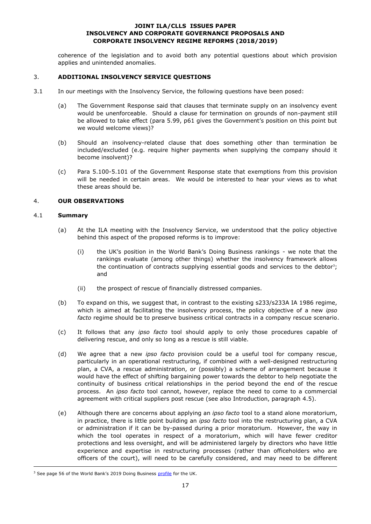coherence of the legislation and to avoid both any potential questions about which provision applies and unintended anomalies.

### 3. **ADDITIONAL INSOLVENCY SERVICE QUESTIONS**

- 3.1 In our meetings with the Insolvency Service, the following questions have been posed:
	- (a) The Government Response said that clauses that terminate supply on an insolvency event would be unenforceable. Should a clause for termination on grounds of non-payment still be allowed to take effect (para 5.99, p61 gives the Government's position on this point but we would welcome views)?
	- (b) Should an insolvency-related clause that does something other than termination be included/excluded (e.g. require higher payments when supplying the company should it become insolvent)?
	- (c) Para 5.100-5.101 of the Government Response state that exemptions from this provision will be needed in certain areas. We would be interested to hear your views as to what these areas should be.

# 4. **OUR OBSERVATIONS**

### 4.1 **Summary**

-

- (a) At the ILA meeting with the Insolvency Service, we understood that the policy objective behind this aspect of the proposed reforms is to improve:
	- (i) the UK's position in the World Bank's Doing Business rankings we note that the rankings evaluate (among other things) whether the insolvency framework allows the continuation of contracts supplying essential goods and services to the debtor<sup>3</sup>; and
	- (ii) the prospect of rescue of financially distressed companies.
- (b) To expand on this, we suggest that, in contrast to the existing s233/s233A IA 1986 regime, which is aimed at facilitating the insolvency process, the policy objective of a new *ipso facto* regime should be to preserve business critical contracts in a company rescue scenario.
- (c) It follows that any *ipso facto* tool should apply to only those procedures capable of delivering rescue, and only so long as a rescue is still viable.
- (d) We agree that a new *ipso facto* provision could be a useful tool for company rescue, particularly in an operational restructuring, if combined with a well-designed restructuring plan, a CVA, a rescue administration, or (possibly) a scheme of arrangement because it would have the effect of shifting bargaining power towards the debtor to help negotiate the continuity of business critical relationships in the period beyond the end of the rescue process. An *ipso facto* tool cannot, however, replace the need to come to a commercial agreement with critical suppliers post rescue (see also Introduction, paragraph [4.5\)](#page-8-0).
- (e) Although there are concerns about applying an *ipso facto* tool to a stand alone moratorium, in practice, there is little point building an *ipso facto* tool into the restructuring plan, a CVA or administration if it can be by-passed during a prior moratorium. However, the way in which the tool operates in respect of a moratorium, which will have fewer creditor protections and less oversight, and will be administered largely by directors who have little experience and expertise in restructuring processes (rather than officeholders who are officers of the court), will need to be carefully considered, and may need to be different

<sup>&</sup>lt;sup>3</sup> See page 56 of the World Bank's 2019 Doing Business [profile](http://www.doingbusiness.org/content/dam/doingBusiness/country/u/united-kingdom/GBR.pdf) for the UK.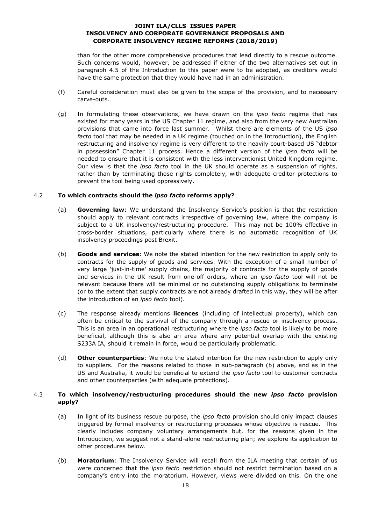than for the other more comprehensive procedures that lead directly to a rescue outcome. Such concerns would, however, be addressed if either of the two alternatives set out in paragraph 4.5 of the Introduction to this paper were to be adopted, as creditors would have the same protection that they would have had in an administration.

- (f) Careful consideration must also be given to the scope of the provision, and to necessary carve-outs.
- (g) In formulating these observations, we have drawn on the *ipso facto* regime that has existed for many years in the US Chapter 11 regime, and also from the very new Australian provisions that came into force last summer. Whilst there are elements of the US *ipso facto* tool that may be needed in a UK regime (touched on in the Introduction), the English restructuring and insolvency regime is very different to the heavily court-based US "debtor in possession" Chapter 11 process. Hence a different version of the *ipso facto* will be needed to ensure that it is consistent with the less interventionist United Kingdom regime. Our view is that the *ipso facto* tool in the UK should operate as a suspension of rights, rather than by terminating those rights completely, with adequate creditor protections to prevent the tool being used oppressively.

### 4.2 **To which contracts should the** *ipso facto* **reforms apply?**

- (a) **Governing law**: We understand the Insolvency Service's position is that the restriction should apply to relevant contracts irrespective of governing law, where the company is subject to a UK insolvency/restructuring procedure. This may not be 100% effective in cross-border situations, particularly where there is no automatic recognition of UK insolvency proceedings post Brexit.
- (b) **Goods and services**: We note the stated intention for the new restriction to apply only to contracts for the supply of goods and services. With the exception of a small number of very large 'just-in-time' supply chains, the majority of contracts for the supply of goods and services in the UK result from one-off orders, where an *ipso facto* tool will not be relevant because there will be minimal or no outstanding supply obligations to terminate (or to the extent that supply contracts are not already drafted in this way, they will be after the introduction of an *ipso facto* tool).
- (c) The response already mentions **licences** (including of intellectual property), which can often be critical to the survival of the company through a rescue or insolvency process. This is an area in an operational restructuring where the *ipso facto* tool is likely to be more beneficial, although this is also an area where any potential overlap with the existing S233A IA, should it remain in force, would be particularly problematic.
- (d) **Other counterparties**: We note the stated intention for the new restriction to apply only to suppliers. For the reasons related to those in sub-paragraph (b) above, and as in the US and Australia, it would be beneficial to extend the *ipso facto* tool to customer contracts and other counterparties (with adequate protections).

### 4.3 **To which insolvency/restructuring procedures should the new** *ipso facto* **provision apply?**

- (a) In light of its business rescue purpose, the *ipso facto* provision should only impact clauses triggered by formal insolvency or restructuring processes whose objective is rescue. This clearly includes company voluntary arrangements but, for the reasons given in the Introduction, we suggest not a stand-alone restructuring plan; we explore its application to other procedures below.
- (b) **Moratorium**: The Insolvency Service will recall from the ILA meeting that certain of us were concerned that the *ipso facto* restriction should not restrict termination based on a company's entry into the moratorium. However, views were divided on this. On the one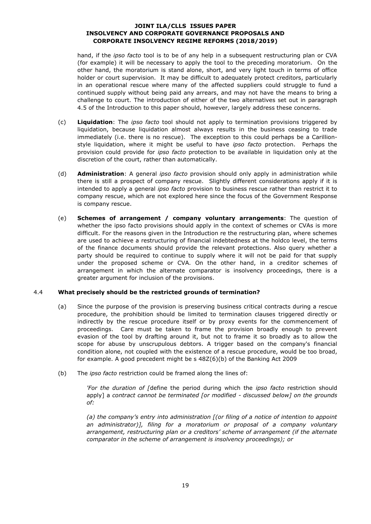hand, if the *ipso facto* tool is to be of any help in a subsequent restructuring plan or CVA (for example) it will be necessary to apply the tool to the preceding moratorium. On the other hand, the moratorium is stand alone, short, and very light touch in terms of office holder or court supervision. It may be difficult to adequately protect creditors, particularly in an operational rescue where many of the affected suppliers could struggle to fund a continued supply without being paid any arrears, and may not have the means to bring a challenge to court. The introduction of either of the two alternatives set out in paragraph 4.5 of the Introduction to this paper should, however, largely address these concerns.

- (c) **Liquidation**: The *ipso facto* tool should not apply to termination provisions triggered by liquidation, because liquidation almost always results in the business ceasing to trade immediately (i.e. there is no rescue). The exception to this could perhaps be a Carillionstyle liquidation, where it might be useful to have *ipso facto* protection. Perhaps the provision could provide for *ipso facto* protection to be available in liquidation only at the discretion of the court, rather than automatically.
- (d) **Administration**: A general *ipso facto* provision should only apply in administration while there is still a prospect of company rescue. Slightly different considerations apply if it is intended to apply a general *ipso facto* provision to business rescue rather than restrict it to company rescue, which are not explored here since the focus of the Government Response is company rescue.
- (e) **Schemes of arrangement / company voluntary arrangements**: The question of whether the ipso facto provisions should apply in the context of schemes or CVAs is more difficult. For the reasons given in the Introduction re the restructuring plan, where schemes are used to achieve a restructuring of financial indebtedness at the holdco level, the terms of the finance documents should provide the relevant protections. Also query whether a party should be required to continue to supply where it will not be paid for that supply under the proposed scheme or CVA. On the other hand, in a creditor schemes of arrangement in which the alternate comparator is insolvency proceedings, there is a greater argument for inclusion of the provisions.

### 4.4 **What precisely should be the restricted grounds of termination?**

- (a) Since the purpose of the provision is preserving business critical contracts during a rescue procedure, the prohibition should be limited to termination clauses triggered directly or indirectly by the rescue procedure itself or by proxy events for the commencement of proceedings. Care must be taken to frame the provision broadly enough to prevent evasion of the tool by drafting around it, but not to frame it so broadly as to allow the scope for abuse by unscrupulous debtors. A trigger based on the company's financial condition alone, not coupled with the existence of a rescue procedure, would be too broad, for example. A good precedent might be s 48Z(6)(b) of the Banking Act 2009
- (b) The *ipso facto* restriction could be framed along the lines of:

*'For the duration of [*define the period during which the *ipso facto* restriction should apply] a *contract cannot be terminated [or modified - discussed below] on the grounds of:*

*(a) the company's entry into administration [(or filing of a notice of intention to appoint an administrator)], filing for a moratorium or proposal of a company voluntary arrangement, restructuring plan or a creditors' scheme of arrangement (if the alternate comparator in the scheme of arrangement is insolvency proceedings); or*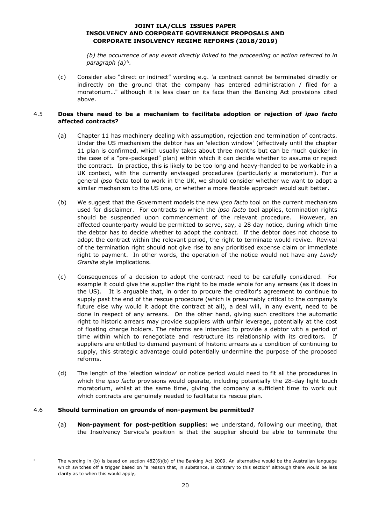*(b) the occurrence of any event directly linked to the proceeding or action referred to in paragraph (a)' 4 .*

(c) Consider also "direct or indirect" wording e.g. 'a contract cannot be terminated directly or indirectly on the ground that the company has entered administration / filed for a moratorium…" although it is less clear on its face than the Banking Act provisions cited above.

### 4.5 **Does there need to be a mechanism to facilitate adoption or rejection of** *ipso facto* **affected contracts?**

- (a) Chapter 11 has machinery dealing with assumption, rejection and termination of contracts. Under the US mechanism the debtor has an 'election window' (effectively until the chapter 11 plan is confirmed, which usually takes about three months but can be much quicker in the case of a "pre-packaged" plan) within which it can decide whether to assume or reject the contract. In practice, this is likely to be too long and heavy-handed to be workable in a UK context, with the currently envisaged procedures (particularly a moratorium). For a general *ipso facto* tool to work in the UK, we should consider whether we want to adopt a similar mechanism to the US one, or whether a more flexible approach would suit better.
- (b) We suggest that the Government models the new *ipso facto* tool on the current mechanism used for disclaimer. For contracts to which the *ipso facto* tool applies, termination rights should be suspended upon commencement of the relevant procedure. However, an affected counterparty would be permitted to serve, say, a 28 day notice, during which time the debtor has to decide whether to adopt the contract. If the debtor does not choose to adopt the contract within the relevant period, the right to terminate would revive. Revival of the termination right should not give rise to any prioritised expense claim or immediate right to payment. In other words, the operation of the notice would not have any *Lundy Granite* style implications.
- (c) Consequences of a decision to adopt the contract need to be carefully considered. For example it could give the supplier the right to be made whole for any arrears (as it does in the US). It is arguable that, in order to procure the creditor's agreement to continue to supply past the end of the rescue procedure (which is presumably critical to the company's future else why would it adopt the contract at all), a deal will, in any event, need to be done in respect of any arrears. On the other hand, giving such creditors the automatic right to historic arrears may provide suppliers with unfair leverage, potentially at the cost of floating charge holders. The reforms are intended to provide a debtor with a period of time within which to renegotiate and restructure its relationship with its creditors. If suppliers are entitled to demand payment of historic arrears as a condition of continuing to supply, this strategic advantage could potentially undermine the purpose of the proposed reforms.
- (d) The length of the 'election window' or notice period would need to fit all the procedures in which the *ipso facto* provisions would operate, including potentially the 28-day light touch moratorium, whilst at the same time, giving the company a sufficient time to work out which contracts are genuinely needed to facilitate its rescue plan.

### 4.6 **Should termination on grounds of non-payment be permitted?**

-

(a) **Non-payment for post-petition supplies**: we understand, following our meeting, that the Insolvency Service's position is that the supplier should be able to terminate the

The wording in (b) is based on section 48Z(6)(b) of the Banking Act 2009. An alternative would be the Australian language which switches off a trigger based on "a reason that, in substance, is contrary to this section" although there would be less clarity as to when this would apply,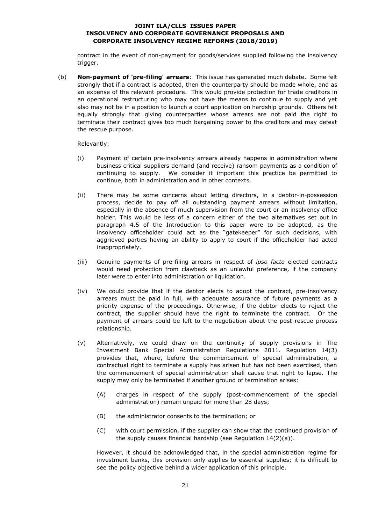contract in the event of non-payment for goods/services supplied following the insolvency trigger.

(b) **Non-payment of 'pre-filing' arrears**: This issue has generated much debate. Some felt strongly that if a contract is adopted, then the counterparty should be made whole, and as an expense of the relevant procedure. This would provide protection for trade creditors in an operational restructuring who may not have the means to continue to supply and yet also may not be in a position to launch a court application on hardship grounds. Others felt equally strongly that giving counterparties whose arrears are not paid the right to terminate their contract gives too much bargaining power to the creditors and may defeat the rescue purpose.

Relevantly:

- (i) Payment of certain pre-insolvency arrears already happens in administration where business critical suppliers demand (and receive) ransom payments as a condition of continuing to supply. We consider it important this practice be permitted to continue, both in administration and in other contexts.
- (ii) There may be some concerns about letting directors, in a debtor-in-possession process, decide to pay off all outstanding payment arrears without limitation, especially in the absence of much supervision from the court or an insolvency office holder. This would be less of a concern either of the two alternatives set out in paragraph 4.5 of the Introduction to this paper were to be adopted, as the insolvency officeholder could act as the "gatekeeper" for such decisions, with aggrieved parties having an ability to apply to court if the officeholder had acted inappropriately.
- (iii) Genuine payments of pre-filing arrears in respect of *ipso facto* elected contracts would need protection from clawback as an unlawful preference, if the company later were to enter into administration or liquidation.
- (iv) We could provide that if the debtor elects to adopt the contract, pre-insolvency arrears must be paid in full, with adequate assurance of future payments as a priority expense of the proceedings. Otherwise, if the debtor elects to reject the contract, the supplier should have the right to terminate the contract. Or the payment of arrears could be left to the negotiation about the post-rescue process relationship.
- (v) Alternatively, we could draw on the continuity of supply provisions in The Investment Bank Special Administration Regulations 2011. Regulation 14(3) provides that, where, before the commencement of special administration, a contractual right to terminate a supply has arisen but has not been exercised, then the commencement of special administration shall cause that right to lapse. The supply may only be terminated if another ground of termination arises:
	- (A) charges in respect of the supply (post-commencement of the special administration) remain unpaid for more than 28 days;
	- (B) the administrator consents to the termination; or
	- (C) with court permission, if the supplier can show that the continued provision of the supply causes financial hardship (see Regulation 14(2)(a)).

However, it should be acknowledged that, in the special administration regime for investment banks, this provision only applies to essential supplies; it is difficult to see the policy objective behind a wider application of this principle.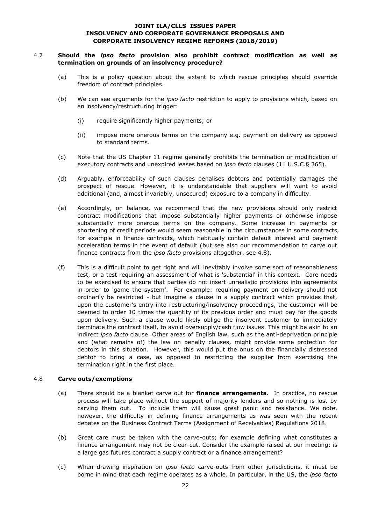### 4.7 **Should the** *ipso facto* **provision also prohibit contract modification as well as termination on grounds of an insolvency procedure?**

- (a) This is a policy question about the extent to which rescue principles should override freedom of contract principles.
- (b) We can see arguments for the *ipso facto* restriction to apply to provisions which, based on an insolvency/restructuring trigger:
	- (i) require significantly higher payments; or
	- (ii) impose more onerous terms on the company e.g. payment on delivery as opposed to standard terms.
- (c) Note that the US Chapter 11 regime generally prohibits the termination or modification of executory contracts and unexpired leases based on *ipso facto* clauses (11 U.S.C.§ 365).
- (d) Arguably, enforceability of such clauses penalises debtors and potentially damages the prospect of rescue. However, it is understandable that suppliers will want to avoid additional (and, almost invariably, unsecured) exposure to a company in difficulty.
- (e) Accordingly, on balance, we recommend that the new provisions should only restrict contract modifications that impose substantially higher payments or otherwise impose substantially more onerous terms on the company. Some increase in payments or shortening of credit periods would seem reasonable in the circumstances in some contracts, for example in finance contracts, which habitually contain default interest and payment acceleration terms in the event of default (but see also our recommendation to carve out finance contracts from the *ipso facto* provisions altogether, see [4.8\)](#page-21-0).
- (f) This is a difficult point to get right and will inevitably involve some sort of reasonableness test, or a test requiring an assessment of what is 'substantial' in this context. Care needs to be exercised to ensure that parties do not insert unrealistic provisions into agreements in order to 'game the system'. For example: requiring payment on delivery should not ordinarily be restricted - but imagine a clause in a supply contract which provides that, upon the customer's entry into restructuring/insolvency proceedings, the customer will be deemed to order 10 times the quantity of its previous order and must pay for the goods upon delivery. Such a clause would likely oblige the insolvent customer to immediately terminate the contract itself, to avoid oversupply/cash flow issues. This might be akin to an indirect *ipso facto* clause. Other areas of English law, such as the anti-deprivation principle and (what remains of) the law on penalty clauses, might provide some protection for debtors in this situation. However, this would put the onus on the financially distressed debtor to bring a case, as opposed to restricting the supplier from exercising the termination right in the first place.

### <span id="page-21-0"></span>4.8 **Carve outs/exemptions**

- (a) There should be a blanket carve out for **finance arrangements**. In practice, no rescue process will take place without the support of majority lenders and so nothing is lost by carving them out. To include them will cause great panic and resistance. We note, however, the difficulty in defining finance arrangements as was seen with the recent debates on the Business Contract Terms (Assignment of Receivables) Regulations 2018.
- (b) Great care must be taken with the carve-outs; for example defining what constitutes a finance arrangement may not be clear-cut. Consider the example raised at our meeting: is a large gas futures contract a supply contract or a finance arrangement?
- (c) When drawing inspiration on *ipso facto* carve-outs from other jurisdictions, it must be borne in mind that each regime operates as a whole. In particular, in the US, the *ipso facto*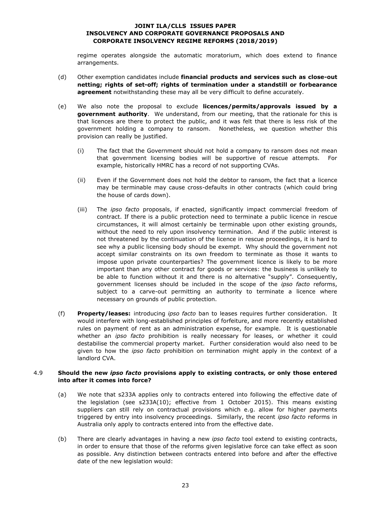regime operates alongside the automatic moratorium, which does extend to finance arrangements.

- (d) Other exemption candidates include **financial products and services such as close-out netting; rights of set-off; rights of termination under a standstill or forbearance agreement** notwithstanding these may all be very difficult to define accurately.
- (e) We also note the proposal to exclude **licences/permits/approvals issued by a government authority**. We understand, from our meeting, that the rationale for this is that licences are there to protect the public, and it was felt that there is less risk of the government holding a company to ransom. Nonetheless, we question whether this provision can really be justified.
	- (i) The fact that the Government should not hold a company to ransom does not mean that government licensing bodies will be supportive of rescue attempts. For example, historically HMRC has a record of not supporting CVAs.
	- (ii) Even if the Government does not hold the debtor to ransom, the fact that a licence may be terminable may cause cross-defaults in other contracts (which could bring the house of cards down).
	- (iii) The *ipso facto* proposals, if enacted, significantly impact commercial freedom of contract. If there is a public protection need to terminate a public licence in rescue circumstances, it will almost certainly be terminable upon other existing grounds, without the need to rely upon insolvency termination. And if the public interest is not threatened by the continuation of the licence in rescue proceedings, it is hard to see why a public licensing body should be exempt. Why should the government not accept similar constraints on its own freedom to terminate as those it wants to impose upon private counterparties? The government licence is likely to be more important than any other contract for goods or services: the business is unlikely to be able to function without it and there is no alternative "supply". Consequently, government licenses should be included in the scope of the *ipso facto* reforms, subject to a carve-out permitting an authority to terminate a licence where necessary on grounds of public protection.
- (f) **Property/leases:** introducing *ipso facto* ban to leases requires further consideration. It would interfere with long-established principles of forfeiture, and more recently established rules on payment of rent as an administration expense, for example. It is questionable whether an *ipso facto* prohibition is really necessary for leases, or whether it could destabilise the commercial property market. Further consideration would also need to be given to how the *ipso facto* prohibition on termination might apply in the context of a landlord CVA.

### 4.9 **Should the new** *ipso facto* **provisions apply to existing contracts, or only those entered into after it comes into force?**

- (a) We note that s233A applies only to contracts entered into following the effective date of the legislation (see s233A(10); effective from 1 October 2015). This means existing suppliers can still rely on contractual provisions which e.g. allow for higher payments triggered by entry into insolvency proceedings. Similarly, the recent *ipso facto* reforms in Australia only apply to contracts entered into from the effective date.
- (b) There are clearly advantages in having a new *ipso facto* tool extend to existing contracts, in order to ensure that those of the reforms given legislative force can take effect as soon as possible. Any distinction between contracts entered into before and after the effective date of the new legislation would: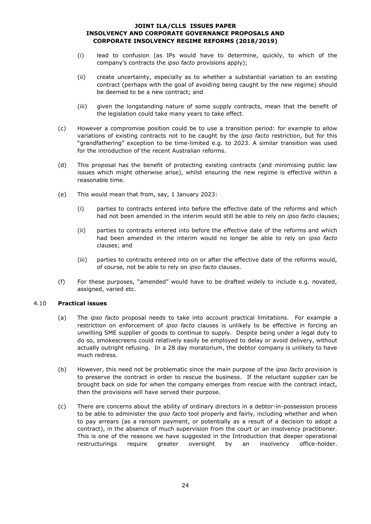- (i) lead to confusion (as IPs would have to determine, quickly, to which of the company's contracts the *ipso facto* provisions apply);
- (ii) create uncertainty, especially as to whether a substantial variation to an existing contract (perhaps with the goal of avoiding being caught by the new regime) should be deemed to be a new contract; and
- (iii) given the longstanding nature of some supply contracts, mean that the benefit of the legislation could take many years to take effect.
- (c) However a compromise position could be to use a transition period: for example to allow variations of existing contracts not to be caught by the *ipso facto* restriction, but for this "grandfathering" exception to be time-limited e.g. to 2023. A similar transition was used for the introduction of the recent Australian reforms.
- (d) This proposal has the benefit of protecting existing contracts (and minimising public law issues which might otherwise arise), whilst ensuring the new regime is effective within a reasonable time.
- (e) This would mean that from, say, 1 January 2023:
	- (i) parties to contracts entered into before the effective date of the reforms and which had not been amended in the interim would still be able to rely on *ipso facto* clauses;
	- (ii) parties to contracts entered into before the effective date of the reforms and which had been amended in the interim would no longer be able to rely on *ipso facto* clauses; and
	- (iii) parties to contracts entered into on or after the effective date of the reforms would, of course, not be able to rely on *ipso facto* clauses.
- (f) For these purposes, "amended" would have to be drafted widely to include e.g. novated, assigned, varied etc.

### 4.10 **Practical issues**

- (a) The *ipso facto* proposal needs to take into account practical limitations. For example a restriction on enforcement of *ipso facto* clauses is unlikely to be effective in forcing an unwilling SME supplier of goods to continue to supply. Despite being under a legal duty to do so, smokescreens could relatively easily be employed to delay or avoid delivery, without actually outright refusing. In a 28 day moratorium, the debtor company is unlikely to have much redress.
- (b) However, this need not be problematic since the main purpose of the *ipso facto* provision is to preserve the contract in order to rescue the business. If the reluctant supplier can be brought back on side for when the company emerges from rescue with the contract intact, then the provisions will have served their purpose.
- (c) There are concerns about the ability of ordinary directors in a debtor-in-possession process to be able to administer the *ipso facto* tool properly and fairly, including whether and when to pay arrears (as a ransom payment, or potentially as a result of a decision to adopt a contract), in the absence of much supervision from the court or an insolvency practitioner. This is one of the reasons we have suggested in the Introduction that deeper operational restructurings require greater oversight by an insolvency office-holder.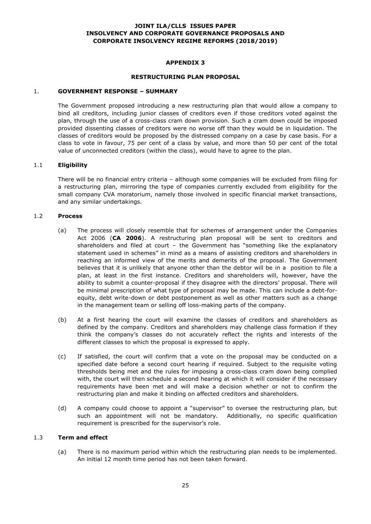### **APPENDIX 3**

#### **RESTRUCTURING PLAN PROPOSAL**

#### 1. **GOVERNMENT RESPONSE – SUMMARY**

The Government proposed introducing a new restructuring plan that would allow a company to bind all creditors, including junior classes of creditors even if those creditors voted against the plan, through the use of a cross-class cram down provision. Such a cram down could be imposed provided dissenting classes of creditors were no worse off than they would be in liquidation. The classes of creditors would be proposed by the distressed company on a case by case basis. For a class to vote in favour, 75 per cent of a class by value, and more than 50 per cent of the total value of unconnected creditors (within the class), would have to agree to the plan.

#### 1.1 **Eligibility**

There will be no financial entry criteria – although some companies will be excluded from filing for a restructuring plan, mirroring the type of companies currently excluded from eligibility for the small company CVA moratorium, namely those involved in specific financial market transactions, and any similar undertakings.

#### 1.2 **Process**

- (a) The process will closely resemble that for schemes of arrangement under the Companies Act 2006 (**CA 2006**). A restructuring plan proposal will be sent to creditors and shareholders and filed at court – the Government has "something like the explanatory statement used in schemes" in mind as a means of assisting creditors and shareholders in reaching an informed view of the merits and demerits of the proposal. The Government believes that it is unlikely that anyone other than the debtor will be in a position to file a plan, at least in the first instance. Creditors and shareholders will, however, have the ability to submit a counter-proposal if they disagree with the directors' proposal. There will be minimal prescription of what type of proposal may be made. This can include a debt-forequity, debt write-down or debt postponement as well as other matters such as a change in the management team or selling off loss-making parts of the company.
- (b) At a first hearing the court will examine the classes of creditors and shareholders as defined by the company. Creditors and shareholders may challenge class formation if they think the company's classes do not accurately reflect the rights and interests of the different classes to which the proposal is expressed to apply.
- (c) If satisfied, the court will confirm that a vote on the proposal may be conducted on a specified date before a second court hearing if required. Subject to the requisite voting thresholds being met and the rules for imposing a cross-class cram down being complied with, the court will then schedule a second hearing at which it will consider if the necessary requirements have been met and will make a decision whether or not to confirm the restructuring plan and make it binding on affected creditors and shareholders.
- (d) A company could choose to appoint a "supervisor" to oversee the restructuring plan, but such an appointment will not be mandatory. Additionally, no specific qualification requirement is prescribed for the supervisor's role.

#### 1.3 **Term and effect**

(a) There is no maximum period within which the restructuring plan needs to be implemented. An initial 12 month time period has not been taken forward.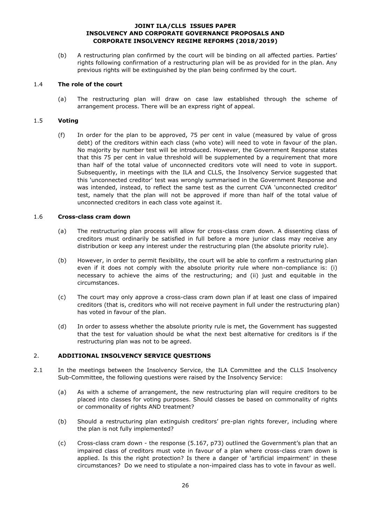(b) A restructuring plan confirmed by the court will be binding on all affected parties. Parties' rights following confirmation of a restructuring plan will be as provided for in the plan. Any previous rights will be extinguished by the plan being confirmed by the court.

### 1.4 **The role of the court**

(a) The restructuring plan will draw on case law established through the scheme of arrangement process. There will be an express right of appeal.

# 1.5 **Voting**

(f) In order for the plan to be approved, 75 per cent in value (measured by value of gross debt) of the creditors within each class (who vote) will need to vote in favour of the plan. No majority by number test will be introduced. However, the Government Response states that this 75 per cent in value threshold will be supplemented by a requirement that more than half of the total value of unconnected creditors vote will need to vote in support. Subsequently, in meetings with the ILA and CLLS, the Insolvency Service suggested that this 'unconnected creditor' test was wrongly summarised in the Government Response and was intended, instead, to reflect the same test as the current CVA 'unconnected creditor' test, namely that the plan will not be approved if more than half of the total value of unconnected creditors in each class vote against it.

### 1.6 **Cross-class cram down**

- (a) The restructuring plan process will allow for cross-class cram down. A dissenting class of creditors must ordinarily be satisfied in full before a more junior class may receive any distribution or keep any interest under the restructuring plan (the absolute priority rule).
- (b) However, in order to permit flexibility, the court will be able to confirm a restructuring plan even if it does not comply with the absolute priority rule where non-compliance is: (i) necessary to achieve the aims of the restructuring; and (ii) just and equitable in the circumstances.
- (c) The court may only approve a cross-class cram down plan if at least one class of impaired creditors (that is, creditors who will not receive payment in full under the restructuring plan) has voted in favour of the plan.
- (d) In order to assess whether the absolute priority rule is met, the Government has suggested that the test for valuation should be what the next best alternative for creditors is if the restructuring plan was not to be agreed.

# 2. **ADDITIONAL INSOLVENCY SERVICE QUESTIONS**

- 2.1 In the meetings between the Insolvency Service, the ILA Committee and the CLLS Insolvency Sub-Committee, the following questions were raised by the Insolvency Service:
	- (a) As with a scheme of arrangement, the new restructuring plan will require creditors to be placed into classes for voting purposes. Should classes be based on commonality of rights or commonality of rights AND treatment?
	- (b) Should a restructuring plan extinguish creditors' pre-plan rights forever, including where the plan is not fully implemented?
	- (c) Cross-class cram down the response (5.167, p73) outlined the Government's plan that an impaired class of creditors must vote in favour of a plan where cross-class cram down is applied. Is this the right protection? Is there a danger of 'artificial impairment' in these circumstances? Do we need to stipulate a non-impaired class has to vote in favour as well.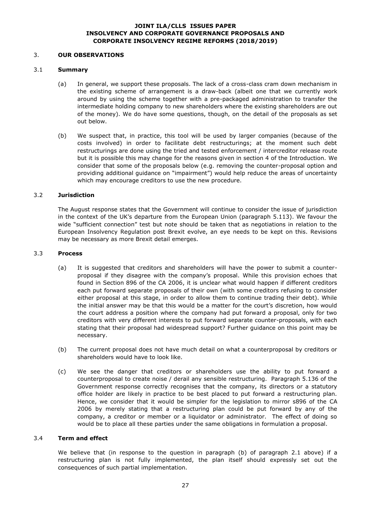### 3. **OUR OBSERVATIONS**

### 3.1 **Summary**

- (a) In general, we support these proposals. The lack of a cross-class cram down mechanism in the existing scheme of arrangement is a draw-back (albeit one that we currently work around by using the scheme together with a pre-packaged administration to transfer the intermediate holding company to new shareholders where the existing shareholders are out of the money). We do have some questions, though, on the detail of the proposals as set out below.
- (b) We suspect that, in practice, this tool will be used by larger companies (because of the costs involved) in order to facilitate debt restructurings; at the moment such debt restructurings are done using the tried and tested enforcement / intercreditor release route but it is possible this may change for the reasons given in section 4 of the Introduction. We consider that some of the proposals below (e.g. removing the counter-proposal option and providing additional guidance on "impairment") would help reduce the areas of uncertainty which may encourage creditors to use the new procedure.

# 3.2 **Jurisdiction**

The August response states that the Government will continue to consider the issue of jurisdiction in the context of the UK's departure from the European Union (paragraph 5.113). We favour the wide "sufficient connection" test but note should be taken that as negotiations in relation to the European Insolvency Regulation post Brexit evolve, an eye needs to be kept on this. Revisions may be necessary as more Brexit detail emerges.

#### 3.3 **Process**

- (a) It is suggested that creditors and shareholders will have the power to submit a counterproposal if they disagree with the company's proposal. While this provision echoes that found in Section 896 of the CA 2006, it is unclear what would happen if different creditors each put forward separate proposals of their own (with some creditors refusing to consider either proposal at this stage, in order to allow them to continue trading their debt). While the initial answer may be that this would be a matter for the court's discretion, how would the court address a position where the company had put forward a proposal, only for two creditors with very different interests to put forward separate counter-proposals, with each stating that their proposal had widespread support? Further guidance on this point may be necessary.
- (b) The current proposal does not have much detail on what a counterproposal by creditors or shareholders would have to look like.
- (c) We see the danger that creditors or shareholders use the ability to put forward a counterproposal to create noise / derail any sensible restructuring. Paragraph 5.136 of the Government response correctly recognises that the company, its directors or a statutory office holder are likely in practice to be best placed to put forward a restructuring plan. Hence, we consider that it would be simpler for the legislation to mirror s896 of the CA 2006 by merely stating that a restructuring plan could be put forward by any of the company, a creditor or member or a liquidator or administrator. The effect of doing so would be to place all these parties under the same obligations in formulation a proposal.

### 3.4 **Term and effect**

We believe that (in response to the question in paragraph (b) of paragraph 2.1 above) if a restructuring plan is not fully implemented, the plan itself should expressly set out the consequences of such partial implementation.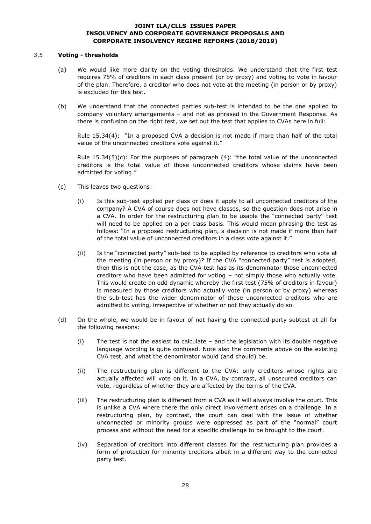#### 3.5 **Voting - thresholds**

- (a) We would like more clarity on the voting thresholds. We understand that the first test requires 75% of creditors in each class present (or by proxy) and voting to vote in favour of the plan. Therefore, a creditor who does not vote at the meeting (in person or by proxy) is excluded for this test.
- (b) We understand that the connected parties sub-test is intended to be the one applied to company voluntary arrangements – and not as phrased in the Government Response. As there is confusion on the right test, we set out the test that applies to CVAs here in full:

Rule 15.34(4): "In a proposed CVA a decision is not made if more than half of the total value of the unconnected creditors vote against it."

Rule  $15.34(5)(c)$ : For the purposes of paragraph  $(4)$ : "the total value of the unconnected creditors is the total value of those unconnected creditors whose claims have been admitted for voting."

- (c) This leaves two questions:
	- (i) Is this sub-test applied per class or does it apply to all unconnected creditors of the company? A CVA of course does not have classes, so the question does not arise in a CVA. In order for the restructuring plan to be usable the "connected party" test will need to be applied on a per class basis. This would mean phrasing the test as follows: "In a proposed restructuring plan, a decision is not made if more than half of the total value of unconnected creditors in a class vote against it."
	- (ii) Is the "connected party" sub-test to be applied by reference to creditors who vote at the meeting (in person or by proxy)? If the CVA "connected party" test is adopted, then this is not the case, as the CVA test has as its denominator those unconnected creditors who have been admitted for voting – not simply those who actually vote. This would create an odd dynamic whereby the first test (75% of creditors in favour) is measured by those creditors who actually vote (in person or by proxy) whereas the sub-test has the wider denominator of those unconnected creditors who are admitted to voting, irrespective of whether or not they actually do so.
- (d) On the whole, we would be in favour of not having the connected party subtest at all for the following reasons:
	- (i) The test is not the easiest to calculate and the legislation with its double negative language wording is quite confused. Note also the comments above on the existing CVA test, and what the denominator would (and should) be.
	- (ii) The restructuring plan is different to the CVA: only creditors whose rights are actually affected will vote on it. In a CVA, by contrast, all unsecured creditors can vote, regardless of whether they are affected by the terms of the CVA.
	- (iii) The restructuring plan is different from a CVA as it will always involve the court. This is unlike a CVA where there the only direct involvement arises on a challenge. In a restructuring plan, by contrast, the court can deal with the issue of whether unconnected or minority groups were oppressed as part of the "normal" court process and without the need for a specific challenge to be brought to the court.
	- (iv) Separation of creditors into different classes for the restructuring plan provides a form of protection for minority creditors albeit in a different way to the connected party test.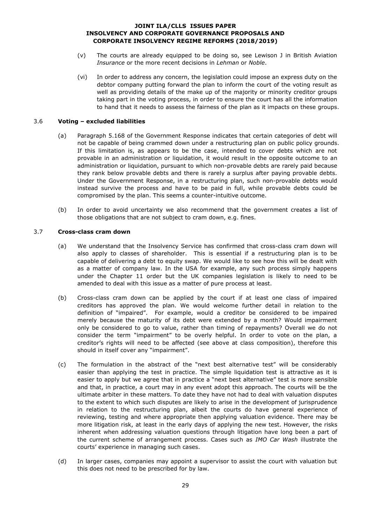- (v) The courts are already equipped to be doing so, see Lewison J in British Aviation *Insurance* or the more recent decisions in *Lehman* or *Noble*.
- (vi) In order to address any concern, the legislation could impose an express duty on the debtor company putting forward the plan to inform the court of the voting result as well as providing details of the make up of the majority or minority creditor groups taking part in the voting process, in order to ensure the court has all the information to hand that it needs to assess the fairness of the plan as it impacts on these groups.

### 3.6 **Voting – excluded liabilities**

- (a) Paragraph 5.168 of the Government Response indicates that certain categories of debt will not be capable of being crammed down under a restructuring plan on public policy grounds. If this limitation is, as appears to be the case, intended to cover debts which are not provable in an administration or liquidation, it would result in the opposite outcome to an administration or liquidation, pursuant to which non-provable debts are rarely paid because they rank below provable debts and there is rarely a surplus after paying provable debts. Under the Government Response, in a restructuring plan, such non-provable debts would instead survive the process and have to be paid in full, while provable debts could be compromised by the plan. This seems a counter-intuitive outcome.
- (b) In order to avoid uncertainty we also recommend that the government creates a list of those obligations that are not subject to cram down, e.g. fines.

### 3.7 **Cross-class cram down**

- (a) We understand that the Insolvency Service has confirmed that cross-class cram down will also apply to classes of shareholder. This is essential if a restructuring plan is to be capable of delivering a debt to equity swap. We would like to see how this will be dealt with as a matter of company law. In the USA for example, any such process simply happens under the Chapter 11 order but the UK companies legislation is likely to need to be amended to deal with this issue as a matter of pure process at least.
- (b) Cross-class cram down can be applied by the court if at least one class of impaired creditors has approved the plan. We would welcome further detail in relation to the definition of "impaired". For example, would a creditor be considered to be impaired merely because the maturity of its debt were extended by a month? Would impairment only be considered to go to value, rather than timing of repayments? Overall we do not consider the term "impairment" to be overly helpful. In order to vote on the plan, a creditor's rights will need to be affected (see above at class composition), therefore this should in itself cover any "impairment".
- (c) The formulation in the abstract of the "next best alternative test" will be considerably easier than applying the test in practice. The simple liquidation test is attractive as it is easier to apply but we agree that in practice a "next best alternative" test is more sensible and that, in practice, a court may in any event adopt this approach. The courts will be the ultimate arbiter in these matters. To date they have not had to deal with valuation disputes to the extent to which such disputes are likely to arise in the development of jurisprudence in relation to the restructuring plan, albeit the courts do have general experience of reviewing, testing and where appropriate then applying valuation evidence. There may be more litigation risk, at least in the early days of applying the new test. However, the risks inherent when addressing valuation questions through litigation have long been a part of the current scheme of arrangement process. Cases such as *IMO Car Wash* illustrate the courts' experience in managing such cases.
- (d) In larger cases, companies may appoint a supervisor to assist the court with valuation but this does not need to be prescribed for by law.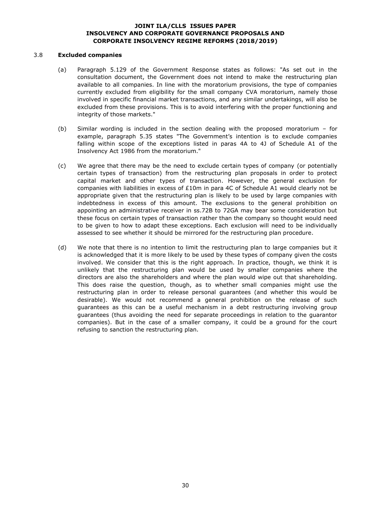#### 3.8 **Excluded companies**

- (a) Paragraph 5.129 of the Government Response states as follows: "As set out in the consultation document, the Government does not intend to make the restructuring plan available to all companies. In line with the moratorium provisions, the type of companies currently excluded from eligibility for the small company CVA moratorium, namely those involved in specific financial market transactions, and any similar undertakings, will also be excluded from these provisions. This is to avoid interfering with the proper functioning and integrity of those markets."
- (b) Similar wording is included in the section dealing with the proposed moratorium for example, paragraph 5.35 states "The Government's intention is to exclude companies falling within scope of the exceptions listed in paras 4A to 4J of Schedule A1 of the Insolvency Act 1986 from the moratorium."
- (c) We agree that there may be the need to exclude certain types of company (or potentially certain types of transaction) from the restructuring plan proposals in order to protect capital market and other types of transaction. However, the general exclusion for companies with liabilities in excess of £10m in para 4C of Schedule A1 would clearly not be appropriate given that the restructuring plan is likely to be used by large companies with indebtedness in excess of this amount. The exclusions to the general prohibition on appointing an administrative receiver in ss.72B to 72GA may bear some consideration but these focus on certain types of transaction rather than the company so thought would need to be given to how to adapt these exceptions. Each exclusion will need to be individually assessed to see whether it should be mirrored for the restructuring plan procedure.
- (d) We note that there is no intention to limit the restructuring plan to large companies but it is acknowledged that it is more likely to be used by these types of company given the costs involved. We consider that this is the right approach. In practice, though, we think it is unlikely that the restructuring plan would be used by smaller companies where the directors are also the shareholders and where the plan would wipe out that shareholding. This does raise the question, though, as to whether small companies might use the restructuring plan in order to release personal guarantees (and whether this would be desirable). We would not recommend a general prohibition on the release of such guarantees as this can be a useful mechanism in a debt restructuring involving group guarantees (thus avoiding the need for separate proceedings in relation to the guarantor companies). But in the case of a smaller company, it could be a ground for the court refusing to sanction the restructuring plan.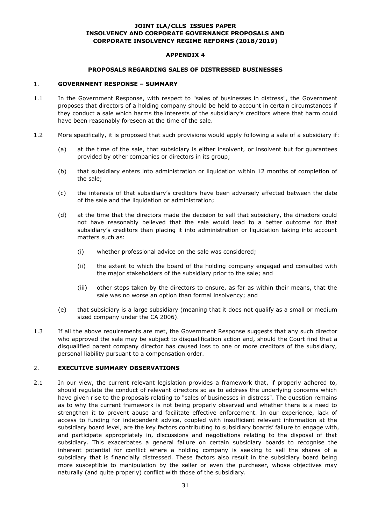### **APPENDIX 4**

#### **PROPOSALS REGARDING SALES OF DISTRESSED BUSINESSES**

#### 1. **GOVERNMENT RESPONSE – SUMMARY**

- 1.1 In the Government Response, with respect to "sales of businesses in distress", the Government proposes that directors of a holding company should be held to account in certain circumstances if they conduct a sale which harms the interests of the subsidiary's creditors where that harm could have been reasonably foreseen at the time of the sale.
- 1.2 More specifically, it is proposed that such provisions would apply following a sale of a subsidiary if:
	- (a) at the time of the sale, that subsidiary is either insolvent, or insolvent but for guarantees provided by other companies or directors in its group;
	- (b) that subsidiary enters into administration or liquidation within 12 months of completion of the sale;
	- (c) the interests of that subsidiary's creditors have been adversely affected between the date of the sale and the liquidation or administration;
	- (d) at the time that the directors made the decision to sell that subsidiary, the directors could not have reasonably believed that the sale would lead to a better outcome for that subsidiary's creditors than placing it into administration or liquidation taking into account matters such as:
		- (i) whether professional advice on the sale was considered;
		- (ii) the extent to which the board of the holding company engaged and consulted with the major stakeholders of the subsidiary prior to the sale; and
		- (iii) other steps taken by the directors to ensure, as far as within their means, that the sale was no worse an option than formal insolvency; and
	- (e) that subsidiary is a large subsidiary (meaning that it does not qualify as a small or medium sized company under the CA 2006).
- 1.3 If all the above requirements are met, the Government Response suggests that any such director who approved the sale may be subject to disqualification action and, should the Court find that a disqualified parent company director has caused loss to one or more creditors of the subsidiary, personal liability pursuant to a compensation order.

### 2. **EXECUTIVE SUMMARY OBSERVATIONS**

2.1 In our view, the current relevant legislation provides a framework that, if properly adhered to, should regulate the conduct of relevant directors so as to address the underlying concerns which have given rise to the proposals relating to "sales of businesses in distress". The question remains as to why the current framework is not being properly observed and whether there is a need to strengthen it to prevent abuse and facilitate effective enforcement. In our experience, lack of access to funding for independent advice, coupled with insufficient relevant information at the subsidiary board level, are the key factors contributing to subsidiary boards' failure to engage with, and participate appropriately in, discussions and negotiations relating to the disposal of that subsidiary. This exacerbates a general failure on certain subsidiary boards to recognise the inherent potential for conflict where a holding company is seeking to sell the shares of a subsidiary that is financially distressed. These factors also result in the subsidiary board being more susceptible to manipulation by the seller or even the purchaser, whose objectives may naturally (and quite properly) conflict with those of the subsidiary.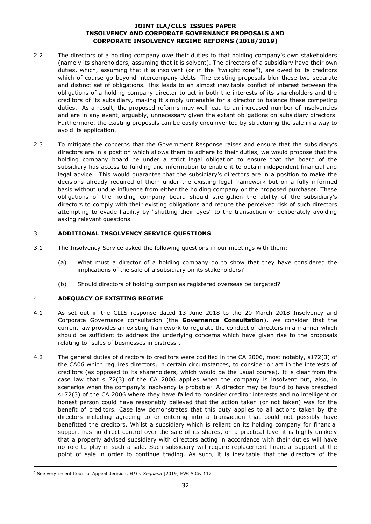- 2.2 The directors of a holding company owe their duties to that holding company's own stakeholders (namely its shareholders, assuming that it is solvent). The directors of a subsidiary have their own duties, which, assuming that it is insolvent (or in the "twilight zone"), are owed to its creditors which of course go beyond intercompany debts. The existing proposals blur these two separate and distinct set of obligations. This leads to an almost inevitable conflict of interest between the obligations of a holding company director to act in both the interests of its shareholders and the creditors of its subsidiary, making it simply untenable for a director to balance these competing duties. As a result, the proposed reforms may well lead to an increased number of insolvencies and are in any event, arguably, unnecessary given the extant obligations on subsidiary directors. Furthermore, the existing proposals can be easily circumvented by structuring the sale in a way to avoid its application.
- 2.3 To mitigate the concerns that the Government Response raises and ensure that the subsidiary's directors are in a position which allows them to adhere to their duties, we would propose that the holding company board be under a strict legal obligation to ensure that the board of the subsidiary has access to funding and information to enable it to obtain independent financial and legal advice. This would guarantee that the subsidiary's directors are in a position to make the decisions already required of them under the existing legal framework but on a fully informed basis without undue influence from either the holding company or the proposed purchaser. These obligations of the holding company board should strengthen the ability of the subsidiary's directors to comply with their existing obligations and reduce the perceived risk of such directors attempting to evade liability by "shutting their eyes" to the transaction or deliberately avoiding asking relevant questions.

### 3. **ADDITIONAL INSOLVENCY SERVICE QUESTIONS**

- 3.1 The Insolvency Service asked the following questions in our meetings with them:
	- (a) What must a director of a holding company do to show that they have considered the implications of the sale of a subsidiary on its stakeholders?
	- (b) Should directors of holding companies registered overseas be targeted?

# 4. **ADEQUACY OF EXISTING REGIME**

- 4.1 As set out in the CLLS response dated 13 June 2018 to the 20 March 2018 Insolvency and Corporate Governance consultation (the **Governance Consultation**), we consider that the current law provides an existing framework to regulate the conduct of directors in a manner which should be sufficient to address the underlying concerns which have given rise to the proposals relating to "sales of businesses in distress".
- 4.2 The general duties of directors to creditors were codified in the CA 2006, most notably, s172(3) of the CA06 which requires directors, in certain circumstances, to consider or act in the interests of creditors (as opposed to its shareholders, which would be the usual course). It is clear from the case law that s172(3) of the CA 2006 applies when the company is insolvent but, also, in scenarios when the company's insolvency is probable<sup>5</sup>. A director may be found to have breached s172(3) of the CA 2006 where they have failed to consider creditor interests and no intelligent or honest person could have reasonably believed that the action taken (or not taken) was for the benefit of creditors. Case law demonstrates that this duty applies to all actions taken by the directors including agreeing to or entering into a transaction that could not possibly have benefitted the creditors. Whilst a subsidiary which is reliant on its holding company for financial support has no direct control over the sale of its shares, on a practical level it is highly unlikely that a properly advised subsidiary with directors acting in accordance with their duties will have no role to play in such a sale. Such subsidiary will require replacement financial support at the point of sale in order to continue trading. As such, it is inevitable that the directors of the

-

<sup>5</sup> See very recent Court of Appeal decision: *BTI v Sequana* [2019] EWCA Civ 112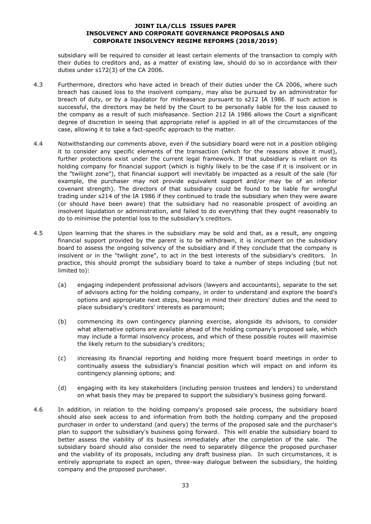subsidiary will be required to consider at least certain elements of the transaction to comply with their duties to creditors and, as a matter of existing law, should do so in accordance with their duties under s172(3) of the CA 2006.

- 4.3 Furthermore, directors who have acted in breach of their duties under the CA 2006, where such breach has caused loss to the insolvent company, may also be pursued by an administrator for breach of duty, or by a liquidator for misfeasance pursuant to s212 IA 1986. If such action is successful, the directors may be held by the Court to be personally liable for the loss caused to the company as a result of such misfeasance. Section 212 IA 1986 allows the Court a significant degree of discretion in seeing that appropriate relief is applied in all of the circumstances of the case, allowing it to take a fact-specific approach to the matter.
- 4.4 Notwithstanding our comments above, even if the subsidiary board were not in a position obliging it to consider any specific elements of the transaction (which for the reasons above it must), further protections exist under the current legal framework. If that subsidiary is reliant on its holding company for financial support (which is highly likely to be the case if it is insolvent or in the "twilight zone"), that financial support will inevitably be impacted as a result of the sale (for example, the purchaser may not provide equivalent support and/or may be of an inferior covenant strength). The directors of that subsidiary could be found to be liable for wrongful trading under s214 of the IA 1986 if they continued to trade the subsidiary when they were aware (or should have been aware) that the subsidiary had no reasonable prospect of avoiding an insolvent liquidation or administration, and failed to do everything that they ought reasonably to do to minimise the potential loss to the subsidiary's creditors.
- 4.5 Upon learning that the shares in the subsidiary may be sold and that, as a result, any ongoing financial support provided by the parent is to be withdrawn, it is incumbent on the subsidiary board to assess the ongoing solvency of the subsidiary and if they conclude that the company is insolvent or in the "twilight zone", to act in the best interests of the subsidiary's creditors. In practice, this should prompt the subsidiary board to take a number of steps including (but not limited to):
	- (a) engaging independent professional advisors (lawyers and accountants), separate to the set of advisors acting for the holding company, in order to understand and explore the board's options and appropriate next steps, bearing in mind their directors' duties and the need to place subsidiary's creditors' interests as paramount;
	- (b) commencing its own contingency planning exercise, alongside its advisors, to consider what alternative options are available ahead of the holding company's proposed sale, which may include a formal insolvency process, and which of these possible routes will maximise the likely return to the subsidiary's creditors;
	- (c) increasing its financial reporting and holding more frequent board meetings in order to continually assess the subsidiary's financial position which will impact on and inform its contingency planning options; and
	- (d) engaging with its key stakeholders (including pension trustees and lenders) to understand on what basis they may be prepared to support the subsidiary's business going forward.
- 4.6 In addition, in relation to the holding company's proposed sale process, the subsidiary board should also seek access to and information from both the holding company and the proposed purchaser in order to understand (and query) the terms of the proposed sale and the purchaser's plan to support the subsidiary's business going forward. This will enable the subsidiary board to better assess the viability of its business immediately after the completion of the sale. The subsidiary board should also consider the need to separately diligence the proposed purchaser and the viability of its proposals, including any draft business plan. In such circumstances, it is entirely appropriate to expect an open, three-way dialogue between the subsidiary, the holding company and the proposed purchaser.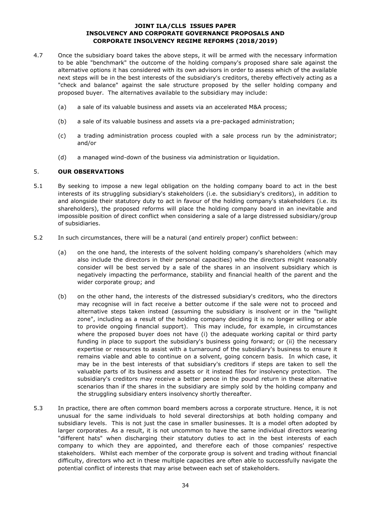- 4.7 Once the subsidiary board takes the above steps, it will be armed with the necessary information to be able "benchmark" the outcome of the holding company's proposed share sale against the alternative options it has considered with its own advisors in order to assess which of the available next steps will be in the best interests of the subsidiary's creditors, thereby effectively acting as a "check and balance" against the sale structure proposed by the seller holding company and proposed buyer. The alternatives available to the subsidiary may include:
	- (a) a sale of its valuable business and assets via an accelerated M&A process;
	- (b) a sale of its valuable business and assets via a pre-packaged administration;
	- (c) a trading administration process coupled with a sale process run by the administrator; and/or
	- (d) a managed wind-down of the business via administration or liquidation.

#### 5. **OUR OBSERVATIONS**

- 5.1 By seeking to impose a new legal obligation on the holding company board to act in the best interests of its struggling subsidiary's stakeholders (i.e. the subsidiary's creditors), in addition to and alongside their statutory duty to act in favour of the holding company's stakeholders (i.e. its shareholders), the proposed reforms will place the holding company board in an inevitable and impossible position of direct conflict when considering a sale of a large distressed subsidiary/group of subsidiaries.
- 5.2 In such circumstances, there will be a natural (and entirely proper) conflict between:
	- (a) on the one hand, the interests of the solvent holding company's shareholders (which may also include the directors in their personal capacities) who the directors might reasonably consider will be best served by a sale of the shares in an insolvent subsidiary which is negatively impacting the performance, stability and financial health of the parent and the wider corporate group; and
	- (b) on the other hand, the interests of the distressed subsidiary's creditors, who the directors may recognise will in fact receive a better outcome if the sale were not to proceed and alternative steps taken instead (assuming the subsidiary is insolvent or in the "twilight zone", including as a result of the holding company deciding it is no longer willing or able to provide ongoing financial support). This may include, for example, in circumstances where the proposed buyer does not have (i) the adequate working capital or third party funding in place to support the subsidiary's business going forward; or (ii) the necessary expertise or resources to assist with a turnaround of the subsidiary's business to ensure it remains viable and able to continue on a solvent, going concern basis. In which case, it may be in the best interests of that subsidiary's creditors if steps are taken to sell the valuable parts of its business and assets or it instead files for insolvency protection. The subsidiary's creditors may receive a better pence in the pound return in these alternative scenarios than if the shares in the subsidiary are simply sold by the holding company and the struggling subsidiary enters insolvency shortly thereafter.
- 5.3 In practice, there are often common board members across a corporate structure. Hence, it is not unusual for the same individuals to hold several directorships at both holding company and subsidiary levels. This is not just the case in smaller businesses. It is a model often adopted by larger corporates. As a result, it is not uncommon to have the same individual directors wearing "different hats" when discharging their statutory duties to act in the best interests of each company to which they are appointed, and therefore each of those companies' respective stakeholders. Whilst each member of the corporate group is solvent and trading without financial difficulty, directors who act in these multiple capacities are often able to successfully navigate the potential conflict of interests that may arise between each set of stakeholders.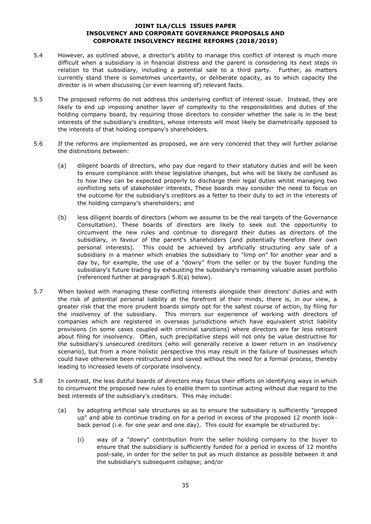- 5.4 However, as outlined above, a director's ability to manage this conflict of interest is much more difficult when a subsidiary is in financial distress and the parent is considering its next steps in relation to that subsidiary, including a potential sale to a third party. Further, as matters currently stand there is sometimes uncertainty, or deliberate opacity, as to which capacity the director is in when discussing (or even learning of) relevant facts.
- 5.5 The proposed reforms do not address this underlying conflict of interest issue. Instead, they are likely to end up imposing another layer of complexity to the responsibilities and duties of the holding company board, by requiring those directors to consider whether the sale is in the best interests of the subsidiary's creditors, whose interests will most likely be diametrically opposed to the interests of that holding company's shareholders.
- 5.6 If the reforms are implemented as proposed, we are very concered that they will further polarise the distinctions between:
	- (a) diligent boards of directors, who pay due regard to their statutory duties and will be keen to ensure compliance with these legislative changes, but who will be likely be confused as to how they can be expected properly to discharge their legal duties whilst managing two conflicting sets of stakeholder interests, These boards may consider the need to focus on the outcome for the subsidiary's creditors as a fetter to their duty to act in the interests of the holding company's shareholders; and
	- (b) less diligent boards of directors (whom we assume to be the real targets of the Governance Consultation). These boards of directors are likely to seek out the opportunity to circumvent the new rules and continue to disregard their duties as directors of the subsidiary, in favour of the parent's shareholders (and potentially therefore their own personal interests). This could be achieved by artificially structuring any sale of a subsidiary in a manner which enables the subsidiary to "limp on" for another year and a day by, for example, the use of a "dowry" from the seller or by the buyer funding the subsidiary's future trading by exhausting the subsidiary's remaining valuable asset portfolio (referenced further at paragraph [5.8\(a\)](#page-34-0) below).
- 5.7 When tasked with managing these conflicting interests alongside their directors' duties and with the risk of potential personal liability at the forefront of their minds, there is, in our view, a greater risk that the more prudent boards simply opt for the safest course of action, by filing for the insolvency of the subsidiary. This mirrors our experience of working with directors of companies which are registered in overseas jurisdictions which have equivalent strict liability provisions (in some cases coupled with criminal sanctions) where directors are far less reticent about filing for insolvency. Often, such precipitative steps will not only be value destructive for the subsidiary's unsecured creditors (who will generally receive a lower return in an insolvency scenario), but from a more holistic perspective this may result in the failure of businesses which could have otherwise been restructured and saved without the need for a formal process, thereby leading to increased levels of corporate insolvency.
- <span id="page-34-0"></span>5.8 In contrast, the less dutiful boards of directors may focus their efforts on identifying ways in which to circumvent the proposed new rules to enable them to continue acting without due regard to the best interests of the subsidiary's creditors. This may include:
	- (a) by adopting artificial sale structures so as to ensure the subsidiary is sufficiently "propped up" and able to continue trading on for a period in excess of the proposed 12 month lookback period (i.e. for one year and one day). This could for example be structured by:
		- (i) way of a "dowry" contribution from the seller holding company to the buyer to ensure that the subsidiary is sufficiently funded for a period in excess of 12 months post-sale, in order for the seller to put as much distance as possible between it and the subsidiary's subsequent collapse; and/or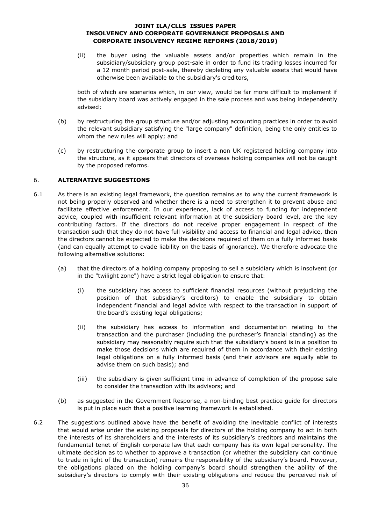(ii) the buyer using the valuable assets and/or properties which remain in the subsidiary/subsidiary group post-sale in order to fund its trading losses incurred for a 12 month period post-sale, thereby depleting any valuable assets that would have otherwise been available to the subsidiary's creditors,

both of which are scenarios which, in our view, would be far more difficult to implement if the subsidiary board was actively engaged in the sale process and was being independently advised;

- (b) by restructuring the group structure and/or adjusting accounting practices in order to avoid the relevant subsidiary satisfying the "large company" definition, being the only entities to whom the new rules will apply; and
- (c) by restructuring the corporate group to insert a non UK registered holding company into the structure, as it appears that directors of overseas holding companies will not be caught by the proposed reforms.

### 6. **ALTERNATIVE SUGGESTIONS**

- 6.1 As there is an existing legal framework, the question remains as to why the current framework is not being properly observed and whether there is a need to strengthen it to prevent abuse and facilitate effective enforcement. In our experience, lack of access to funding for independent advice, coupled with insufficient relevant information at the subsidiary board level, are the key contributing factors. If the directors do not receive proper engagement in respect of the transaction such that they do not have full visibility and access to financial and legal advice, then the directors cannot be expected to make the decisions required of them on a fully informed basis (and can equally attempt to evade liability on the basis of ignorance). We therefore advocate the following alternative solutions:
	- (a) that the directors of a holding company proposing to sell a subsidiary which is insolvent (or in the "twilight zone") have a strict legal obligation to ensure that:
		- (i) the subsidiary has access to sufficient financial resources (without prejudicing the position of that subsidiary's creditors) to enable the subsidiary to obtain independent financial and legal advice with respect to the transaction in support of the board's existing legal obligations;
		- (ii) the subsidiary has access to information and documentation relating to the transaction and the purchaser (including the purchaser's financial standing) as the subsidiary may reasonably require such that the subsidiary's board is in a position to make those decisions which are required of them in accordance with their existing legal obligations on a fully informed basis (and their advisors are equally able to advise them on such basis); and
		- (iii) the subsidiary is given sufficient time in advance of completion of the propose sale to consider the transaction with its advisors; and
	- (b) as suggested in the Government Response, a non-binding best practice guide for directors is put in place such that a positive learning framework is established.
- 6.2 The suggestions outlined above have the benefit of avoiding the inevitable conflict of interests that would arise under the existing proposals for directors of the holding company to act in both the interests of its shareholders and the interests of its subsidiary's creditors and maintains the fundamental tenet of English corporate law that each company has its own legal personality. The ultimate decision as to whether to approve a transaction (or whether the subsidiary can continue to trade in light of the transaction) remains the responsibility of the subsidiary's board. However, the obligations placed on the holding company's board should strengthen the ability of the subsidiary's directors to comply with their existing obligations and reduce the perceived risk of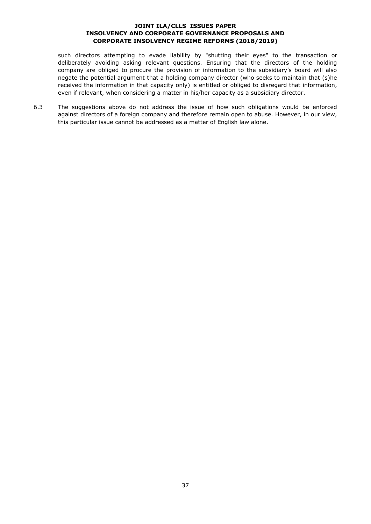such directors attempting to evade liability by "shutting their eyes" to the transaction or deliberately avoiding asking relevant questions. Ensuring that the directors of the holding company are obliged to procure the provision of information to the subsidiary's board will also negate the potential argument that a holding company director (who seeks to maintain that (s)he received the information in that capacity only) is entitled or obliged to disregard that information, even if relevant, when considering a matter in his/her capacity as a subsidiary director.

6.3 The suggestions above do not address the issue of how such obligations would be enforced against directors of a foreign company and therefore remain open to abuse. However, in our view, this particular issue cannot be addressed as a matter of English law alone.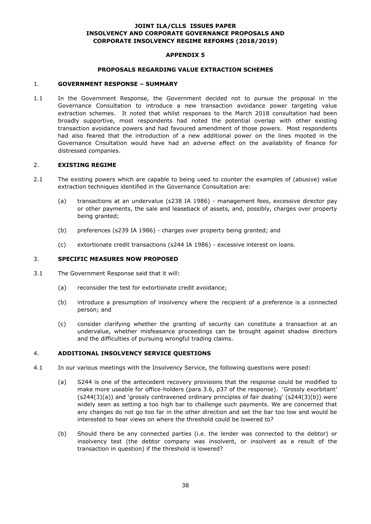### **APPENDIX 5**

#### **PROPOSALS REGARDING VALUE EXTRACTION SCHEMES**

#### 1. **GOVERNMENT RESPONSE – SUMMARY**

1.1 In the Government Response, the Government decided not to pursue the proposal in the Governance Consultation to introduce a new transaction avoidance power targeting value extraction schemes. It noted that whilst responses to the March 2018 consultation had been broadly supportive, most respondents had noted the potential overlap with other existing transaction avoidance powers and had favoured amendment of those powers. Most respondents had also feared that the introduction of a new additional power on the lines mooted in the Governance Cnsultation would have had an adverse effect on the availability of finance for distressed companies.

#### 2. **EXISTING REGIME**

- 2.1 The existing powers which are capable to being used to counter the examples of (abusive) value extraction techniques identified in the Governance Consultation are:
	- (a) transactions at an undervalue (s238 IA 1986) management fees, excessive director pay or other payments, the sale and leaseback of assets, and, possibly, charges over property being granted;
	- (b) preferences (s239 IA 1986) charges over property being granted; and
	- (c) extortionate credit transactions (s244 IA 1986) excessive interest on loans.

### 3. **SPECIFIC MEASURES NOW PROPOSED**

- 3.1 The Government Response said that it will:
	- (a) reconsider the test for extortionate credit avoidance;
	- (b) introduce a presumption of insolvency where the recipient of a preference is a connected person; and
	- (c) consider clarifying whether the granting of security can constitute a transaction at an undervalue, whether misfeasance proceedings can be brought against shadow directors and the difficulties of pursuing wrongful trading claims.

### 4. **ADDITIONAL INSOLVENCY SERVICE QUESTIONS**

- 4.1 In our various meetings with the Insolvency Service, the following questions were posed:
	- (a) S244 is one of the antecedent recovery provisions that the response could be modified to make more useable for office-holders (para 3.6, p37 of the response). 'Grossly exorbitant' (s244(3)(a)) and 'grossly contravened ordinary principles of fair dealing' (s244(3)(b)) were widely seen as setting a too high bar to challenge such payments. We are concerned that any changes do not go too far in the other direction and set the bar too low and would be interested to hear views on where the threshold could be lowered to?
	- (b) Should there be any connected parties (i.e. the lender was connected to the debtor) or insolvency test (the debtor company was insolvent, or insolvent as a result of the transaction in question) if the threshold is lowered?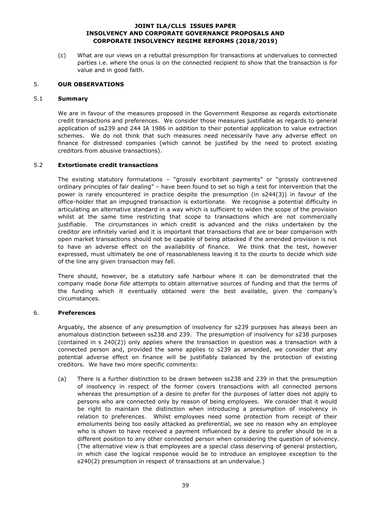(c) What are our views on a rebuttal presumption for transactions at undervalues to connected parties i.e. where the onus is on the connected recipient to show that the transaction is for value and in good faith.

### 5. **OUR OBSERVATIONS**

### 5.1 **Summary**

We are in favour of the measures proposed in the Government Response as regards extortionate credit transactions and preferences. We consider those measures justifiable as regards to general application of ss239 and 244 IA 1986 in addition to their potential application to value extraction schemes. We do not think that such measures need necessarily have any adverse effect on finance for distressed companies (which cannot be justified by the need to protect existing creditors from abusive transactions).

### 5.2 **Extortionate credit transactions**

The existing statutory formulations – "grossly exorbitant payments" or "grossly contravened ordinary principles of fair dealing" – have been found to set so high a test for intervention that the power is rarely encountered in practice despite the presumption (in s244(3)) in favour of the office-holder that an impugned transaction is extortionate. We recognise a potential difficulty in articulating an alternative standard in a way which is sufficient to widen the scope of the provision whilst at the same time restricting that scope to transactions which are not commercially justifiable. The circumstances in which credit is advanced and the risks undertaken by the creditor are infinitely varied and it is important that transactions that are or bear comparison with open market transactions should not be capable of being attacked if the amended provision is not to have an adverse effect on the availability of finance. We think that the test, however expressed, must ultimately be one of reasonableness leaving it to the courts to decide which side of the line any given transaction may fall.

There should, however, be a statutory safe harbour where it can be demonstrated that the company made *bona fide* attempts to obtain alternative sources of funding and that the terms of the funding which it eventually obtained were the best available, given the company's circumstances.

# 6. **Preferences**

Arguably, the absence of any presumption of insolvency for s239 purposes has always been an anomalous distinction between ss238 and 239. The presumption of insolvency for s238 purposes (contained in s 240(2)) only applies where the transaction in question was a transaction with a connected person and, provided the same applies to s239 as amended, we consider that any potential adverse effect on finance will be justifiably balanced by the protection of existing creditors. We have two more specific comments:

(a) There is a further distinction to be drawn between ss238 and 239 in that the presumption of insolvency in respect of the former covers transactions with all connected persons whereas the presumption of a desire to prefer for the purposes of latter does not apply to persons who are connected only by reason of being employees. We consider that it would be right to maintain the distinction when introducing a presumption of insolvency in relation to preferences. Whilst employees need some protection from receipt of their emoluments being too easily attacked as preferential, we see no reason why an employee who is shown to have received a payment influenced by a desire to prefer should be in a different position to any other connected person when considering the question of solvency. (The alternative view is that employees are a special class deserving of general protection, in which case the logical response would be to introduce an employee exception to the s240(2) presumption in respect of transactions at an undervalue.)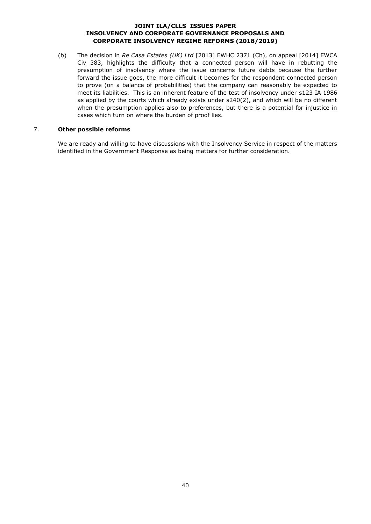(b) The decision in *Re Casa Estates (UK) Ltd* [2013] EWHC 2371 (Ch), on appeal [2014] EWCA Civ 383, highlights the difficulty that a connected person will have in rebutting the presumption of insolvency where the issue concerns future debts because the further forward the issue goes, the more difficult it becomes for the respondent connected person to prove (on a balance of probabilities) that the company can reasonably be expected to meet its liabilities. This is an inherent feature of the test of insolvency under s123 IA 1986 as applied by the courts which already exists under s240(2), and which will be no different when the presumption applies also to preferences, but there is a potential for injustice in cases which turn on where the burden of proof lies.

### 7. **Other possible reforms**

We are ready and willing to have discussions with the Insolvency Service in respect of the matters identified in the Government Response as being matters for further consideration.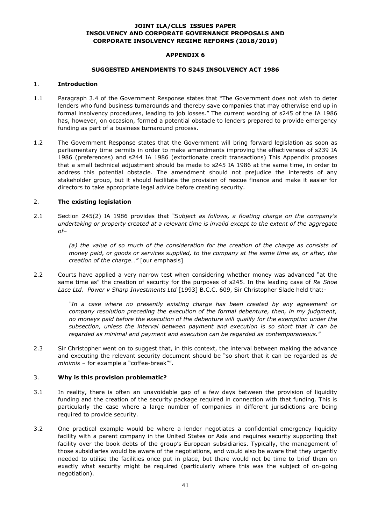#### **APPENDIX 6**

#### **SUGGESTED AMENDMENTS TO S245 INSOLVENCY ACT 1986**

#### 1. **Introduction**

- 1.1 Paragraph 3.4 of the Government Response states that "The Government does not wish to deter lenders who fund business turnarounds and thereby save companies that may otherwise end up in formal insolvency procedures, leading to job losses." The current wording of s245 of the IA 1986 has, however, on occasion, formed a potential obstacle to lenders prepared to provide emergency funding as part of a business turnaround process.
- 1.2 The Government Response states that the Government will bring forward legislation as soon as parliamentary time permits in order to make amendments improving the effectiveness of s239 IA 1986 (preferences) and s244 IA 1986 (extortionate credit transactions) This Appendix proposes that a small technical adjustment should be made to s245 IA 1986 at the same time, in order to address this potential obstacle. The amendment should not prejudice the interests of any stakeholder group, but it should facilitate the provision of rescue finance and make it easier for directors to take appropriate legal advice before creating security.

### 2. **The existing legislation**

2.1 Section 245(2) IA 1986 provides that *"Subject as follows, a floating charge on the company's undertaking or property created at a relevant time is invalid except to the extent of the aggregate of–*

> *(a) the value of so much of the consideration for the creation of the charge as consists of money paid, or goods or services supplied, to the company at the same time as, or after, the creation of the charge…"* [our emphasis]

2.2 Courts have applied a very narrow test when considering whether money was advanced "at the same time as" the creation of security for the purposes of s245. In the leading case of *Re Shoe Lace Ltd. Power v Sharp Investments Ltd* [1993] B.C.C. 609, Sir Christopher Slade held that:-

> *"In a case where no presently existing charge has been created by any agreement or company resolution preceding the execution of the formal debenture, then, in my judgment, no moneys paid before the execution of the debenture will qualify for the exemption under the subsection, unless the interval between payment and execution is so short that it can be regarded as minimal and payment and execution can be regarded as contemporaneous."*

2.3 Sir Christopher went on to suggest that, in this context, the interval between making the advance and executing the relevant security document should be "so short that it can be regarded as *de minimis* – for example a "coffee-break"".

### 3. **Why is this provision problematic?**

- 3.1 In reality, there is often an unavoidable gap of a few days between the provision of liquidity funding and the creation of the security package required in connection with that funding. This is particularly the case where a large number of companies in different jurisdictions are being required to provide security.
- 3.2 One practical example would be where a lender negotiates a confidential emergency liquidity facility with a parent company in the United States or Asia and requires security supporting that facility over the book debts of the group's European subsidiaries. Typically, the management of those subsidiaries would be aware of the negotiations, and would also be aware that they urgently needed to utilise the facilities once put in place, but there would not be time to brief them on exactly what security might be required (particularly where this was the subject of on-going negotiation).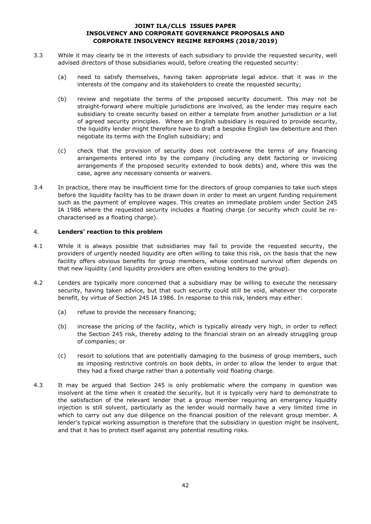- 3.3 While it may clearly be in the interests of each subsidiary to provide the requested security, well advised directors of those subsidiaries would, before creating the requested security:
	- (a) need to satisfy themselves, having taken appropriate legal advice. that it was in the interests of the company and its stakeholders to create the requested security;
	- (b) review and negotiate the terms of the proposed security document. This may not be straight-forward where multiple jurisdictions are involved, as the lender may require each subsidiary to create security based on either a template from another jurisdiction or a list of agreed security principles. Where an English subsidiary is required to provide security, the liquidity lender might therefore have to draft a bespoke English law debenture and then negotiate its terms with the English subsidiary; and
	- (c) check that the provision of security does not contravene the terms of any financing arrangements entered into by the company (including any debt factoring or invoicing arrangements if the proposed security extended to book debts) and, where this was the case, agree any necessary consents or waivers.
- 3.4 In practice, there may be insufficient time for the directors of group companies to take such steps before the liquidity facility has to be drawn down in order to meet an urgent funding requirement such as the payment of employee wages. This creates an immediate problem under Section 245 IA 1986 where the requested security includes a floating charge (or security which could be recharacterised as a floating charge).

# 4. **Lenders' reaction to this problem**

- 4.1 While it is always possible that subsidiaries may fail to provide the requested security, the providers of urgently needed liquidity are often willing to take this risk, on the basis that the new facility offers obvious benefits for group members, whose continued survival often depends on that new liquidity (and liquidity providers are often existing lenders to the group).
- 4.2 Lenders are typically more concerned that a subsidiary may be willing to execute the necessary security, having taken advice, but that such security could still be void, whatever the corporate benefit, by virtue of Section 245 IA 1986. In response to this risk, lenders may either:
	- (a) refuse to provide the necessary financing;
	- (b) increase the pricing of the facility, which is typically already very high, in order to reflect the Section 245 risk, thereby adding to the financial strain on an already struggling group of companies; or
	- (c) resort to solutions that are potentially damaging to the business of group members, such as imposing restrictive controls on book debts, in order to allow the lender to argue that they had a fixed charge rather than a potentially void floating charge.
- 4.3 It may be argued that Section 245 is only problematic where the company in question was insolvent at the time when it created the security, but it is typically very hard to demonstrate to the satisfaction of the relevant lender that a group member requiring an emergency liquidity injection is still solvent, particularly as the lender would normally have a very limited time in which to carry out any due diligence on the financial position of the relevant group member. A lender's typical working assumption is therefore that the subsidiary in question might be insolvent, and that it has to protect itself against any potential resulting risks.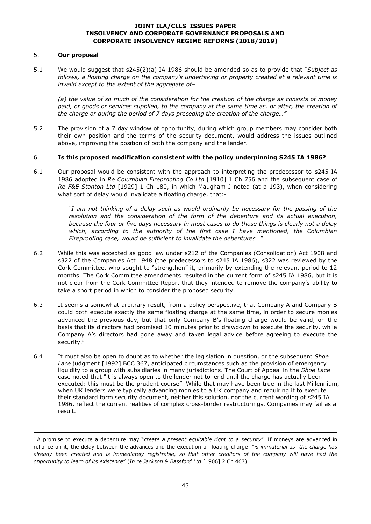### 5. **Our proposal**

-

5.1 We would suggest that s245(2)(a) IA 1986 should be amended so as to provide that *"Subject as follows, a floating charge on the company's undertaking or property created at a relevant time is invalid except to the extent of the aggregate of–*

*(a) the value of so much of the consideration for the creation of the charge as consists of money paid, or goods or services supplied, to the company at the same time as, or after, the creation of the charge or during the period of 7 days preceding the creation of the charge…"*

5.2 The provision of a 7 day window of opportunity, during which group members may consider both their own position and the terms of the security document, would address the issues outlined above, improving the position of both the company and the lender.

### 6. **Is this proposed modification consistent with the policy underpinning S245 IA 1986?**

6.1 Our proposal would be consistent with the approach to interpreting the predecessor to s245 IA 1986 adopted in *Re Columbian Fireproofing Co Ltd* [1910] 1 Ch 756 and the subsequent case of *Re F&E Stanton Ltd* [1929] 1 Ch 180, in which Maugham J noted (at p 193), when considering what sort of delay would invalidate a floating charge, that:-

> *"I am not thinking of a delay such as would ordinarily be necessary for the passing of the resolution and the consideration of the form of the debenture and its actual execution, because the four or five days necessary in most cases to do those things is clearly not a delay which, according to the authority of the first case I have mentioned, the Columbian Fireproofing case, would be sufficient to invalidate the debentures…"*

- 6.2 While this was accepted as good law under s212 of the Companies (Consolidation) Act 1908 and s322 of the Companies Act 1948 (the predecessors to s245 IA 1986), s322 was reviewed by the Cork Committee, who sought to "strengthen" it, primarily by extending the relevant period to 12 months. The Cork Committee amendments resulted in the current form of s245 IA 1986, but it is not clear from the Cork Committee Report that they intended to remove the company's ability to take a short period in which to consider the proposed security.
- 6.3 It seems a somewhat arbitrary result, from a policy perspective, that Company A and Company B could both execute exactly the same floating charge at the same time, in order to secure monies advanced the previous day, but that only Company B's floating charge would be valid, on the basis that its directors had promised 10 minutes prior to drawdown to execute the security, while Company A's directors had gone away and taken legal advice before agreeing to execute the security.<sup>6</sup>
- 6.4 It must also be open to doubt as to whether the legislation in question, or the subsequent *Shoe Lace* judgment [1992] BCC 367, anticipated circumstances such as the provision of emergency liquidity to a group with subsidiaries in many jurisdictions. The Court of Appeal in the *Shoe Lace* case noted that "it is always open to the lender not to lend until the charge has actually been executed: this must be the prudent course". While that may have been true in the last Millennium, when UK lenders were typically advancing monies to a UK company and requiring it to execute their standard form security document, neither this solution, nor the current wording of s245 IA 1986, reflect the current realities of complex cross-border restructurings. Companies may fail as a result.

<sup>6</sup> A promise to execute a debenture may "*create a present equitable right to a security*". If moneys are advanced in reliance on it, the delay between the advances and the execution of floating charge "*is immaterial as the charge has already been created and is immediately registrable, so that other creditors of the company will have had the opportunity to learn of its existence*" (*In re Jackson & Bassford Ltd* [1906] 2 Ch 467).